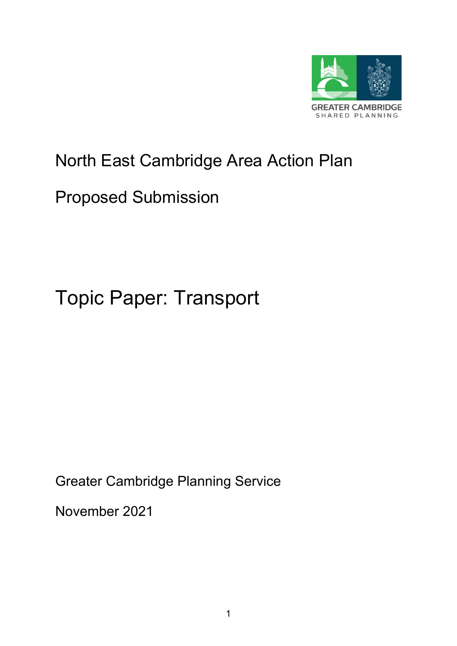

# North East Cambridge Area Action Plan

## Proposed Submission

# Topic Paper: Transport

Greater Cambridge Planning Service

November 2021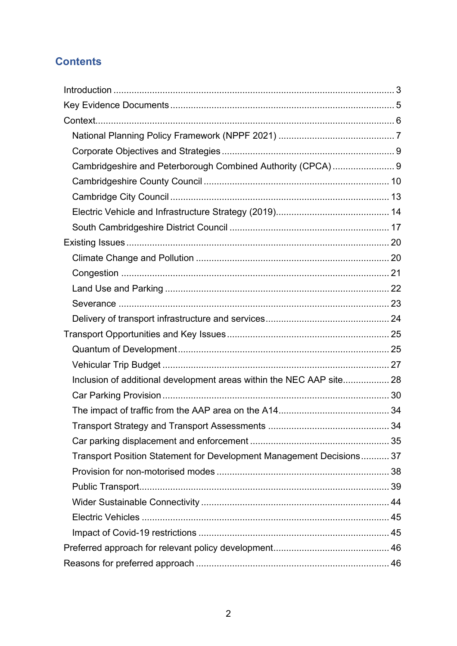## **Contents**

| Cambridgeshire and Peterborough Combined Authority (CPCA)  9         |    |
|----------------------------------------------------------------------|----|
|                                                                      |    |
|                                                                      |    |
|                                                                      |    |
|                                                                      |    |
|                                                                      |    |
|                                                                      |    |
|                                                                      |    |
|                                                                      |    |
|                                                                      |    |
|                                                                      |    |
|                                                                      |    |
|                                                                      |    |
|                                                                      |    |
| Inclusion of additional development areas within the NEC AAP site 28 |    |
|                                                                      |    |
|                                                                      |    |
| Transport Strategy and Transport Assessments                         | 34 |
|                                                                      |    |
| Transport Position Statement for Development Management Decisions 37 |    |
|                                                                      |    |
|                                                                      |    |
|                                                                      |    |
|                                                                      |    |
|                                                                      |    |
|                                                                      |    |
|                                                                      |    |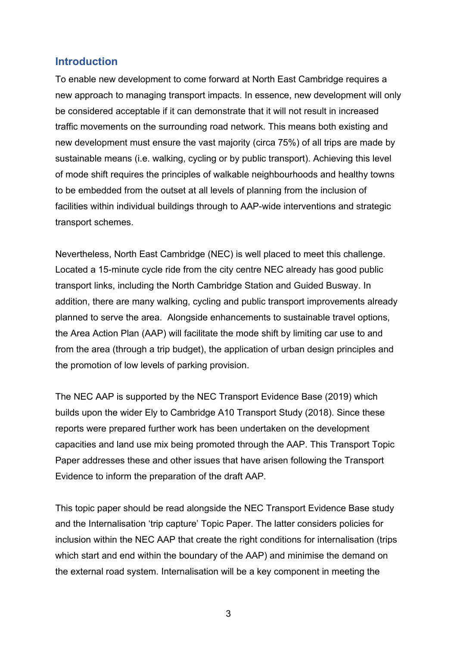#### <span id="page-2-0"></span>**Introduction**

To enable new development to come forward at North East Cambridge requires a new approach to managing transport impacts. In essence, new development will only be considered acceptable if it can demonstrate that it will not result in increased traffic movements on the surrounding road network. This means both existing and new development must ensure the vast majority (circa 75%) of all trips are made by sustainable means (i.e. walking, cycling or by public transport). Achieving this level of mode shift requires the principles of walkable neighbourhoods and healthy towns to be embedded from the outset at all levels of planning from the inclusion of facilities within individual buildings through to AAP-wide interventions and strategic transport schemes.

Nevertheless, North East Cambridge (NEC) is well placed to meet this challenge. Located a 15-minute cycle ride from the city centre NEC already has good public transport links, including the North Cambridge Station and Guided Busway. In addition, there are many walking, cycling and public transport improvements already planned to serve the area. Alongside enhancements to sustainable travel options, the Area Action Plan (AAP) will facilitate the mode shift by limiting car use to and from the area (through a trip budget), the application of urban design principles and the promotion of low levels of parking provision.

The NEC AAP is supported by the NEC Transport Evidence Base (2019) which builds upon the wider Ely to Cambridge A10 Transport Study (2018). Since these reports were prepared further work has been undertaken on the development capacities and land use mix being promoted through the AAP. This Transport Topic Paper addresses these and other issues that have arisen following the Transport Evidence to inform the preparation of the draft AAP.

This topic paper should be read alongside the NEC Transport Evidence Base study and the Internalisation 'trip capture' Topic Paper. The latter considers policies for inclusion within the NEC AAP that create the right conditions for internalisation (trips which start and end within the boundary of the AAP) and minimise the demand on the external road system. Internalisation will be a key component in meeting the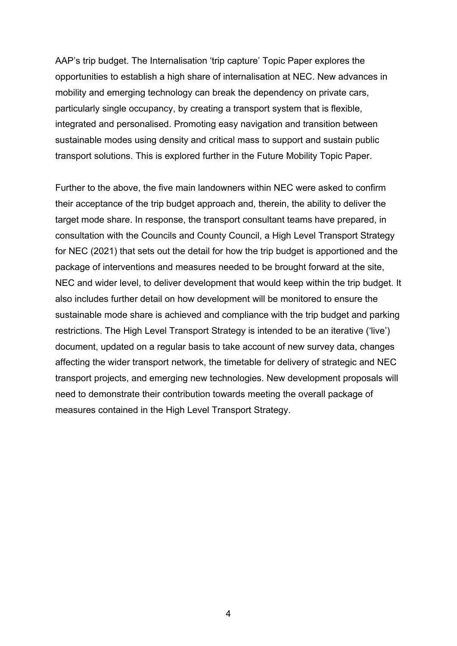AAP's trip budget. The Internalisation 'trip capture' Topic Paper explores the opportunities to establish a high share of internalisation at NEC. New advances in mobility and emerging technology can break the dependency on private cars, particularly single occupancy, by creating a transport system that is flexible, integrated and personalised. Promoting easy navigation and transition between sustainable modes using density and critical mass to support and sustain public transport solutions. This is explored further in the Future Mobility Topic Paper.

Further to the above, the five main landowners within NEC were asked to confirm their acceptance of the trip budget approach and, therein, the ability to deliver the target mode share. In response, the transport consultant teams have prepared, in consultation with the Councils and County Council, a High Level Transport Strategy for NEC (2021) that sets out the detail for how the trip budget is apportioned and the package of interventions and measures needed to be brought forward at the site, NEC and wider level, to deliver development that would keep within the trip budget. It also includes further detail on how development will be monitored to ensure the sustainable mode share is achieved and compliance with the trip budget and parking restrictions. The High Level Transport Strategy is intended to be an iterative ('live') document, updated on a regular basis to take account of new survey data, changes affecting the wider transport network, the timetable for delivery of strategic and NEC transport projects, and emerging new technologies. New development proposals will need to demonstrate their contribution towards meeting the overall package of measures contained in the High Level Transport Strategy.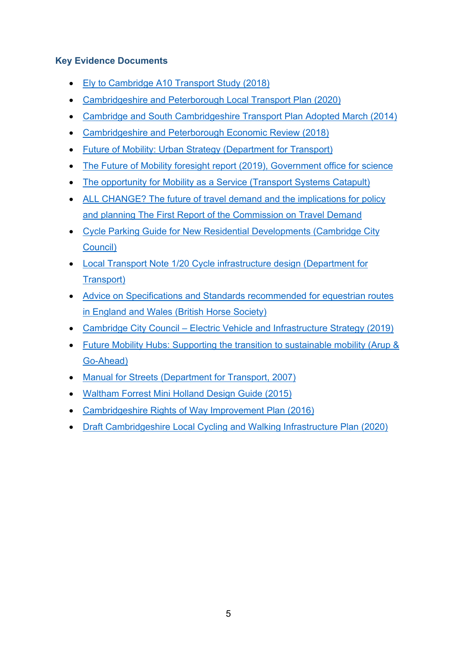#### <span id="page-4-0"></span>**Key Evidence Documents**

- [Ely to Cambridge A10 Transport Study \(2018\)](https://www.greatercambridge.org.uk/transport/transport-projects/waterbeach-to-cambridge)
- [Cambridgeshire and Peterborough Local Transport Plan](https://mk0cpcamainsitehdbtm.kinstacdn.com/wp-content/uploads/documents/transport/local-transport-plan/LTP.pdf) (2020)
- [Cambridge and South Cambridgeshire Transport Plan Adopted March \(2014\)](https://www.cambridgeshire.gov.uk/residents/travel-roads-and-parking/transport-plans-and-policies/cambridge-city-and-south-cambs-transport-strategy)
- [Cambridgeshire and Peterborough Economic Review \(2018\)](https://www.cpier.org.uk/)
- [Future of Mobility: Urban Strategy \(Department for Transport\)](https://assets.publishing.service.gov.uk/government/uploads/system/uploads/attachment_data/file/846593/future-of-mobility-strategy.pdf)
- [The Future of Mobility foresight report \(2019\), Government office for science](https://assets.publishing.service.gov.uk/government/uploads/system/uploads/attachment_data/file/780868/future_of_mobility_final.pdf)
- [The opportunity for Mobility as a Service \(Transport Systems Catapult\)](https://ts.catapult.org.uk/wp-content/uploads/2016/08/Mobility-as-a-Service_Exploring-the-Opportunity-for-MaaS-in-the-UK-Download.pdf)
- [ALL CHANGE? The future of travel demand and the implications for policy](http://www.demand.ac.uk/wp-content/uploads/2018/04/FutureTravel_report_final.pdf)  [and planning The First Report of the Commission on Travel Demand](http://www.demand.ac.uk/wp-content/uploads/2018/04/FutureTravel_report_final.pdf)
- [Cycle Parking Guide for New Residential Developments \(Cambridge City](https://www.cambridge.gov.uk/media/6771/cycle-parking-guide-for-new-residential-developments.pdf)  [Council\)](https://www.cambridge.gov.uk/media/6771/cycle-parking-guide-for-new-residential-developments.pdf)
- [Local Transport Note 1/20 Cycle infrastructure design](https://www.gov.uk/government/publications/cycle-infrastructure-design-ltn-120) (Department for [Transport\)](https://www.gov.uk/government/publications/cycle-infrastructure-design-ltn-120)
- [Advice on Specifications and Standards recommended for equestrian routes](https://programmeofficers.co.uk/Preston/CoreDocuments/LCC149.pdf)  [in England and Wales \(British Horse Society\)](https://programmeofficers.co.uk/Preston/CoreDocuments/LCC149.pdf)
- Cambridge City Council [Electric Vehicle and Infrastructure Strategy \(2019\)](https://www.cambridge.gov.uk/media/7988/electric-vehicle-and-infrastructure-strategy.pdf)
- [Future Mobility Hubs: Supporting the transition to sustainable mobility](http://www.infrastructure-intelligence.com/sites/default/files/article_uploads/Arup-GoAhead-Future-Mobility-Hub%20report.pdf) (Arup & [Go-Ahead\)](http://www.infrastructure-intelligence.com/sites/default/files/article_uploads/Arup-GoAhead-Future-Mobility-Hub%20report.pdf)
- [Manual for Streets \(Department for Transport, 2007\)](https://assets.publishing.service.gov.uk/government/uploads/system/uploads/attachment_data/file/341513/pdfmanforstreets.pdf)
- [Waltham Forrest Mini Holland Design Guide \(2015\)](https://www.enjoywalthamforest.co.uk/wp-content/uploads/2015/01/Waltham-Forest-Mini-Holland-Design-Guide.pdf)
- Cambridgeshire [Rights of Way Improvement Plan \(2016\)](https://www.cambridgeshire.gov.uk/asset-library/imported-assets/Cambridgeshire_ROWIP_update___April_2016%20(1).pdf)
- [Draft Cambridgeshire Local Cycling and Walking Infrastructure Plan \(2020\)](https://consultcambs.uk.engagementhq.com/ccc-local-cycling-and-walking-infrastructure-plan-consultation-2021)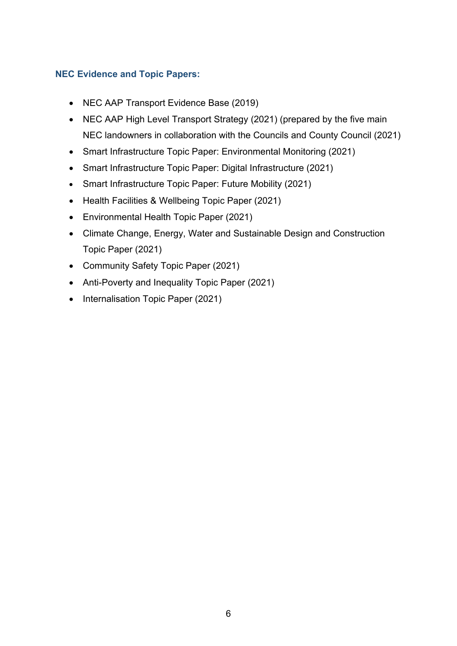#### **NEC Evidence and Topic Papers:**

- NEC AAP Transport Evidence Base (2019)
- NEC AAP High Level Transport Strategy (2021) (prepared by the five main NEC landowners in collaboration with the Councils and County Council (2021)
- Smart Infrastructure Topic Paper: Environmental Monitoring (2021)
- Smart Infrastructure Topic Paper: Digital Infrastructure (2021)
- Smart Infrastructure Topic Paper: Future Mobility (2021)
- Health Facilities & Wellbeing Topic Paper (2021)
- Environmental Health Topic Paper (2021)
- Climate Change, Energy, Water and Sustainable Design and Construction Topic Paper (2021)
- Community Safety Topic Paper (2021)
- Anti-Poverty and Inequality Topic Paper (2021)
- <span id="page-5-0"></span>• Internalisation Topic Paper (2021)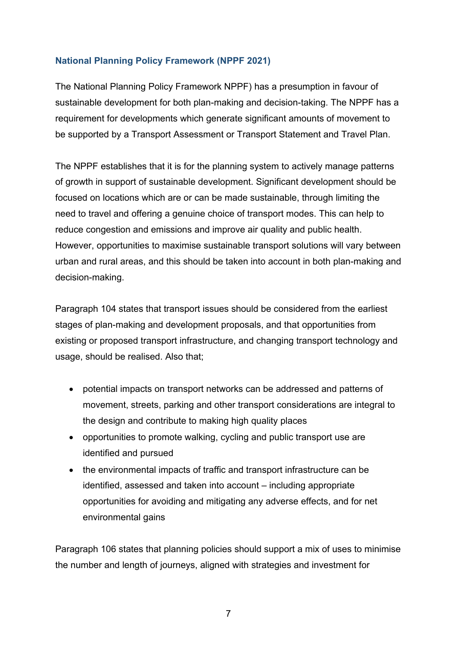#### <span id="page-6-0"></span>**National Planning Policy Framework (NPPF 2021)**

The National Planning Policy Framework NPPF) has a presumption in favour of sustainable development for both plan-making and decision-taking. The NPPF has a requirement for developments which generate significant amounts of movement to be supported by a Transport Assessment or Transport Statement and Travel Plan.

The NPPF establishes that it is for the planning system to actively manage patterns of growth in support of sustainable development. Significant development should be focused on locations which are or can be made sustainable, through limiting the need to travel and offering a genuine choice of transport modes. This can help to reduce congestion and emissions and improve air quality and public health. However, opportunities to maximise sustainable transport solutions will vary between urban and rural areas, and this should be taken into account in both plan-making and decision-making.

Paragraph 104 states that transport issues should be considered from the earliest stages of plan-making and development proposals, and that opportunities from existing or proposed transport infrastructure, and changing transport technology and usage, should be realised. Also that;

- potential impacts on transport networks can be addressed and patterns of movement, streets, parking and other transport considerations are integral to the design and contribute to making high quality places
- opportunities to promote walking, cycling and public transport use are identified and pursued
- the environmental impacts of traffic and transport infrastructure can be identified, assessed and taken into account – including appropriate opportunities for avoiding and mitigating any adverse effects, and for net environmental gains

Paragraph 106 states that planning policies should support a mix of uses to minimise the number and length of journeys, aligned with strategies and investment for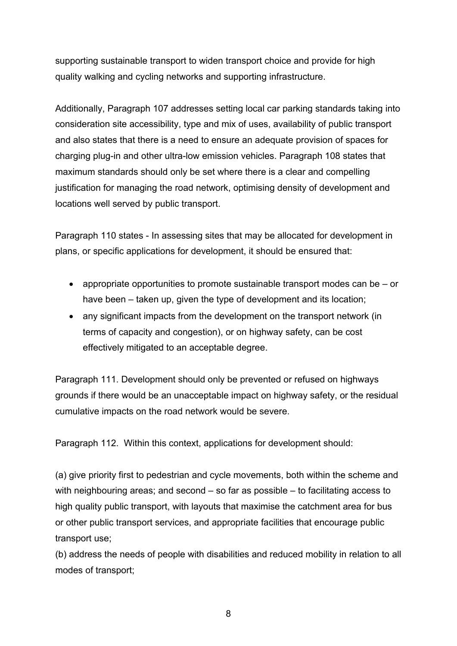supporting sustainable transport to widen transport choice and provide for high quality walking and cycling networks and supporting infrastructure.

Additionally, Paragraph 107 addresses setting local car parking standards taking into consideration site accessibility, type and mix of uses, availability of public transport and also states that there is a need to ensure an adequate provision of spaces for charging plug-in and other ultra-low emission vehicles. Paragraph 108 states that maximum standards should only be set where there is a clear and compelling justification for managing the road network, optimising density of development and locations well served by public transport.

Paragraph 110 states - In assessing sites that may be allocated for development in plans, or specific applications for development, it should be ensured that:

- appropriate opportunities to promote sustainable transport modes can be or have been – taken up, given the type of development and its location;
- any significant impacts from the development on the transport network (in terms of capacity and congestion), or on highway safety, can be cost effectively mitigated to an acceptable degree.

Paragraph 111. Development should only be prevented or refused on highways grounds if there would be an unacceptable impact on highway safety, or the residual cumulative impacts on the road network would be severe.

Paragraph 112. Within this context, applications for development should:

(a) give priority first to pedestrian and cycle movements, both within the scheme and with neighbouring areas; and second – so far as possible – to facilitating access to high quality public transport, with layouts that maximise the catchment area for bus or other public transport services, and appropriate facilities that encourage public transport use;

(b) address the needs of people with disabilities and reduced mobility in relation to all modes of transport;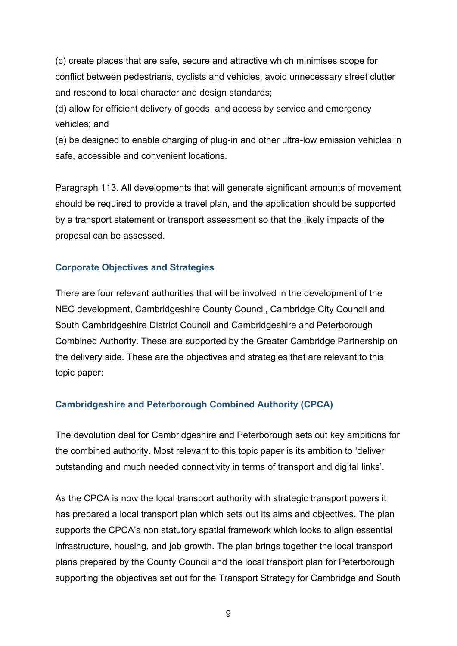(c) create places that are safe, secure and attractive which minimises scope for conflict between pedestrians, cyclists and vehicles, avoid unnecessary street clutter and respond to local character and design standards;

(d) allow for efficient delivery of goods, and access by service and emergency vehicles; and

(e) be designed to enable charging of plug-in and other ultra-low emission vehicles in safe, accessible and convenient locations.

Paragraph 113. All developments that will generate significant amounts of movement should be required to provide a travel plan, and the application should be supported by a transport statement or transport assessment so that the likely impacts of the proposal can be assessed.

#### <span id="page-8-0"></span>**Corporate Objectives and Strategies**

There are four relevant authorities that will be involved in the development of the NEC development, Cambridgeshire County Council, Cambridge City Council and South Cambridgeshire District Council and Cambridgeshire and Peterborough Combined Authority. These are supported by the Greater Cambridge Partnership on the delivery side. These are the objectives and strategies that are relevant to this topic paper:

#### <span id="page-8-1"></span>**Cambridgeshire and Peterborough Combined Authority (CPCA)**

The devolution deal for Cambridgeshire and Peterborough sets out key ambitions for the combined authority. Most relevant to this topic paper is its ambition to 'deliver outstanding and much needed connectivity in terms of transport and digital links'.

As the CPCA is now the local transport authority with strategic transport powers it has prepared a local transport plan which sets out its aims and objectives. The plan supports the CPCA's non statutory spatial framework which looks to align essential infrastructure, housing, and job growth. The plan brings together the local transport plans prepared by the County Council and the local transport plan for Peterborough supporting the objectives set out for the Transport Strategy for Cambridge and South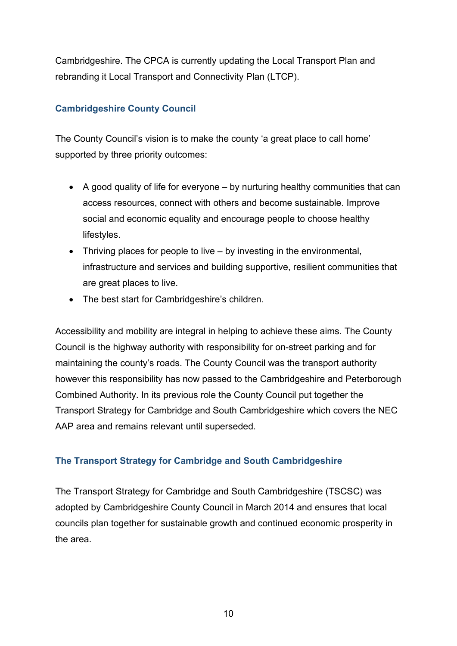Cambridgeshire. The CPCA is currently updating the Local Transport Plan and rebranding it Local Transport and Connectivity Plan (LTCP).

#### <span id="page-9-0"></span>**Cambridgeshire County Council**

The County Council's vision is to make the county 'a great place to call home' supported by three priority outcomes:

- A good quality of life for everyone by nurturing healthy communities that can access resources, connect with others and become sustainable. Improve social and economic equality and encourage people to choose healthy lifestyles.
- Thriving places for people to live by investing in the environmental, infrastructure and services and building supportive, resilient communities that are great places to live.
- The best start for Cambridgeshire's children.

Accessibility and mobility are integral in helping to achieve these aims. The County Council is the highway authority with responsibility for on-street parking and for maintaining the county's roads. The County Council was the transport authority however this responsibility has now passed to the Cambridgeshire and Peterborough Combined Authority. In its previous role the County Council put together the Transport Strategy for Cambridge and South Cambridgeshire which covers the NEC AAP area and remains relevant until superseded.

#### **The Transport Strategy for Cambridge and South Cambridgeshire**

The Transport Strategy for Cambridge and South Cambridgeshire (TSCSC) was adopted by Cambridgeshire County Council in March 2014 and ensures that local councils plan together for sustainable growth and continued economic prosperity in the area.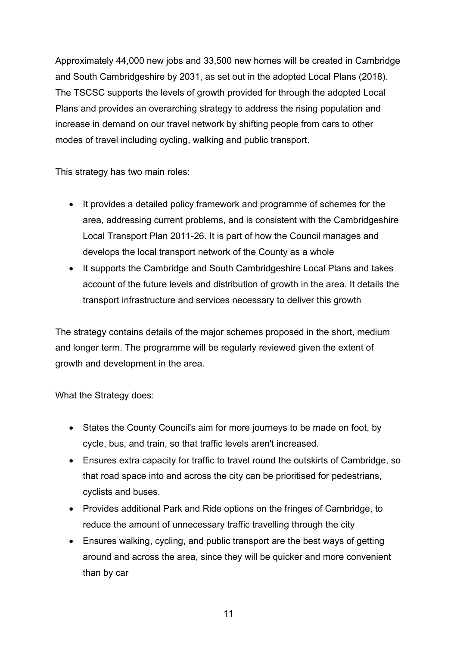Approximately 44,000 new jobs and 33,500 new homes will be created in Cambridge and South Cambridgeshire by 2031, as set out in the adopted Local Plans (2018). The TSCSC supports the levels of growth provided for through the adopted Local Plans and provides an overarching strategy to address the rising population and increase in demand on our travel network by shifting people from cars to other modes of travel including cycling, walking and public transport.

This strategy has two main roles:

- It provides a detailed policy framework and programme of schemes for the area, addressing current problems, and is consistent with the Cambridgeshire Local Transport Plan 2011-26. It is part of how the Council manages and develops the local transport network of the County as a whole
- It supports the Cambridge and South Cambridgeshire Local Plans and takes account of the future levels and distribution of growth in the area. It details the transport infrastructure and services necessary to deliver this growth

The strategy contains details of the major schemes proposed in the short, medium and longer term. The programme will be regularly reviewed given the extent of growth and development in the area.

What the Strategy does:

- States the County Council's aim for more journeys to be made on foot, by cycle, bus, and train, so that traffic levels aren't increased.
- Ensures extra capacity for traffic to travel round the outskirts of Cambridge, so that road space into and across the city can be prioritised for pedestrians, cyclists and buses.
- Provides additional Park and Ride options on the fringes of Cambridge, to reduce the amount of unnecessary traffic travelling through the city
- Ensures walking, cycling, and public transport are the best ways of getting around and across the area, since they will be quicker and more convenient than by car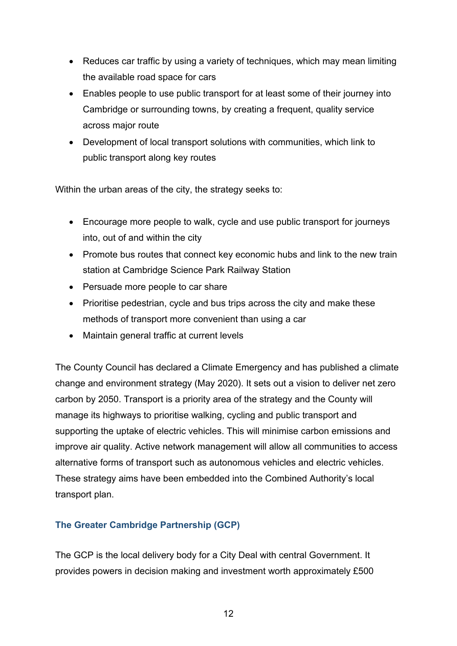- Reduces car traffic by using a variety of techniques, which may mean limiting the available road space for cars
- Enables people to use public transport for at least some of their journey into Cambridge or surrounding towns, by creating a frequent, quality service across major route
- Development of local transport solutions with communities, which link to public transport along key routes

Within the urban areas of the city, the strategy seeks to:

- Encourage more people to walk, cycle and use public transport for journeys into, out of and within the city
- Promote bus routes that connect key economic hubs and link to the new train station at Cambridge Science Park Railway Station
- Persuade more people to car share
- Prioritise pedestrian, cycle and bus trips across the city and make these methods of transport more convenient than using a car
- Maintain general traffic at current levels

The County Council has declared a Climate Emergency and has published a climate change and environment strategy (May 2020). It sets out a vision to deliver net zero carbon by 2050. Transport is a priority area of the strategy and the County will manage its highways to prioritise walking, cycling and public transport and supporting the uptake of electric vehicles. This will minimise carbon emissions and improve air quality. Active network management will allow all communities to access alternative forms of transport such as autonomous vehicles and electric vehicles. These strategy aims have been embedded into the Combined Authority's local transport plan.

#### **The Greater Cambridge Partnership (GCP)**

The GCP is the local delivery body for a City Deal with central Government. It provides powers in decision making and investment worth approximately £500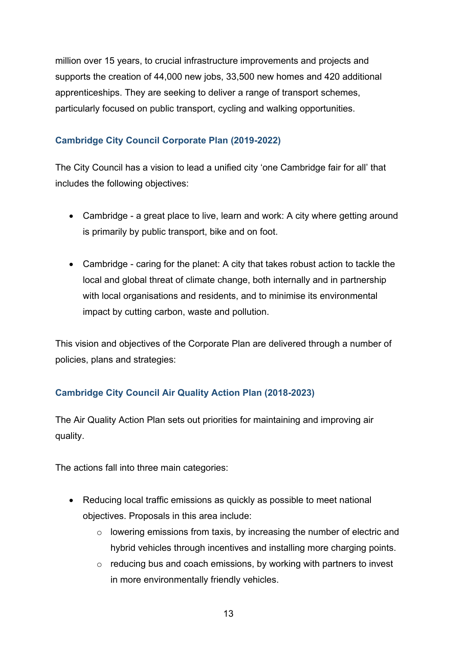million over 15 years, to crucial infrastructure improvements and projects and supports the creation of 44,000 new jobs, 33,500 new homes and 420 additional apprenticeships. They are seeking to deliver a range of transport schemes, particularly focused on public transport, cycling and walking opportunities.

#### <span id="page-12-0"></span>**Cambridge City Council Corporate Plan (2019-2022)**

The City Council has a vision to lead a unified city 'one Cambridge fair for all' that includes the following objectives:

- Cambridge a great place to live, learn and work: A city where getting around is primarily by public transport, bike and on foot.
- Cambridge caring for the planet: A city that takes robust action to tackle the local and global threat of climate change, both internally and in partnership with local organisations and residents, and to minimise its environmental impact by cutting carbon, waste and pollution.

This vision and objectives of the Corporate Plan are delivered through a number of policies, plans and strategies:

#### **Cambridge City Council Air Quality Action Plan (2018-2023)**

The Air Quality Action Plan sets out priorities for maintaining and improving air quality.

The actions fall into three main categories:

- Reducing local traffic emissions as quickly as possible to meet national objectives. Proposals in this area include:
	- o lowering emissions from taxis, by increasing the number of electric and hybrid vehicles through incentives and installing more charging points.
	- $\circ$  reducing bus and coach emissions, by working with partners to invest in more environmentally friendly vehicles.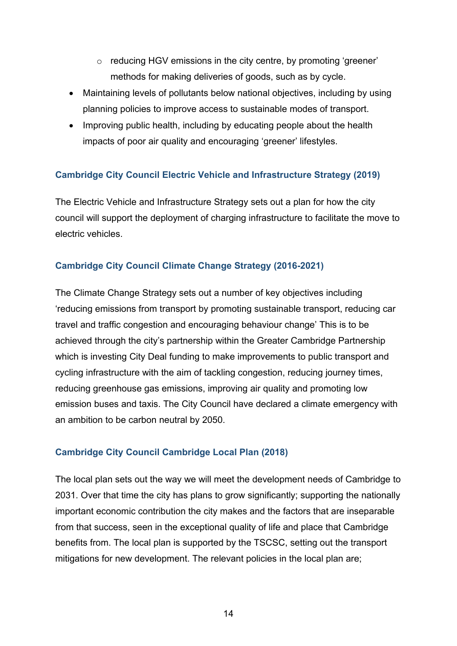- o reducing HGV emissions in the city centre, by promoting 'greener' methods for making deliveries of goods, such as by cycle.
- Maintaining levels of pollutants below national objectives, including by using planning policies to improve access to sustainable modes of transport.
- Improving public health, including by educating people about the health impacts of poor air quality and encouraging 'greener' lifestyles.

#### <span id="page-13-0"></span>**Cambridge City Council Electric Vehicle and Infrastructure Strategy (2019)**

The Electric Vehicle and Infrastructure Strategy sets out a plan for how the city council will support the deployment of charging infrastructure to facilitate the move to electric vehicles.

#### **Cambridge City Council Climate Change Strategy (2016-2021)**

The Climate Change Strategy sets out a number of key objectives including 'reducing emissions from transport by promoting sustainable transport, reducing car travel and traffic congestion and encouraging behaviour change' This is to be achieved through the city's partnership within the Greater Cambridge Partnership which is investing City Deal funding to make improvements to public transport and cycling infrastructure with the aim of tackling congestion, reducing journey times, reducing greenhouse gas emissions, improving air quality and promoting low emission buses and taxis. The City Council have declared a climate emergency with an ambition to be carbon neutral by 2050.

#### **Cambridge City Council Cambridge Local Plan (2018)**

The local plan sets out the way we will meet the development needs of Cambridge to 2031. Over that time the city has plans to grow significantly; supporting the nationally important economic contribution the city makes and the factors that are inseparable from that success, seen in the exceptional quality of life and place that Cambridge benefits from. The local plan is supported by the TSCSC, setting out the transport mitigations for new development. The relevant policies in the local plan are;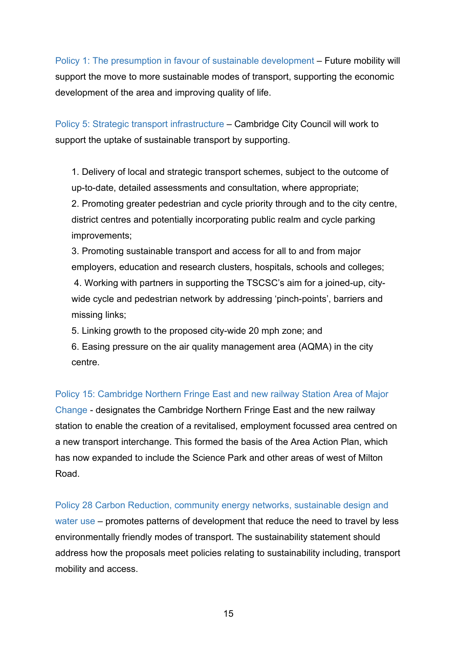Policy 1: The presumption in favour of sustainable development – Future mobility will support the move to more sustainable modes of transport, supporting the economic development of the area and improving quality of life.

Policy 5: Strategic transport infrastructure – Cambridge City Council will work to support the uptake of sustainable transport by supporting.

1. Delivery of local and strategic transport schemes, subject to the outcome of up-to-date, detailed assessments and consultation, where appropriate;

2. Promoting greater pedestrian and cycle priority through and to the city centre, district centres and potentially incorporating public realm and cycle parking improvements;

3. Promoting sustainable transport and access for all to and from major employers, education and research clusters, hospitals, schools and colleges; 4. Working with partners in supporting the TSCSC's aim for a joined-up, citywide cycle and pedestrian network by addressing 'pinch-points', barriers and missing links;

5. Linking growth to the proposed city-wide 20 mph zone; and

6. Easing pressure on the air quality management area (AQMA) in the city centre.

Policy 15: Cambridge Northern Fringe East and new railway Station Area of Major Change - designates the Cambridge Northern Fringe East and the new railway station to enable the creation of a revitalised, employment focussed area centred on a new transport interchange. This formed the basis of the Area Action Plan, which has now expanded to include the Science Park and other areas of west of Milton Road.

Policy 28 Carbon Reduction, community energy networks, sustainable design and water use – promotes patterns of development that reduce the need to travel by less environmentally friendly modes of transport. The sustainability statement should address how the proposals meet policies relating to sustainability including, transport mobility and access.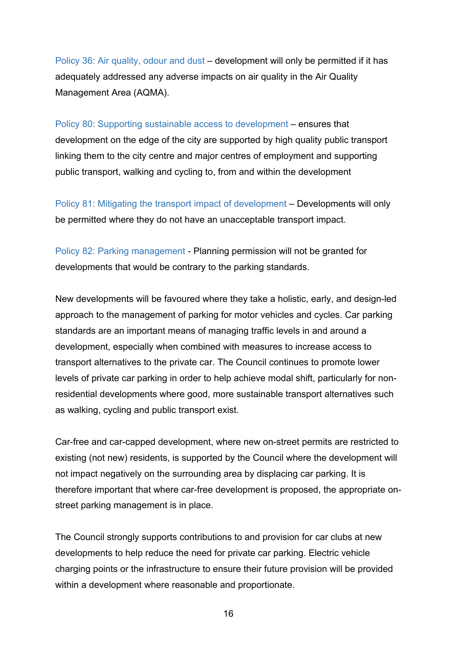Policy 36: Air quality, odour and dust – development will only be permitted if it has adequately addressed any adverse impacts on air quality in the Air Quality Management Area (AQMA).

Policy 80: Supporting sustainable access to development – ensures that development on the edge of the city are supported by high quality public transport linking them to the city centre and major centres of employment and supporting public transport, walking and cycling to, from and within the development

Policy 81: Mitigating the transport impact of development – Developments will only be permitted where they do not have an unacceptable transport impact.

Policy 82: Parking management - Planning permission will not be granted for developments that would be contrary to the parking standards.

New developments will be favoured where they take a holistic, early, and design-led approach to the management of parking for motor vehicles and cycles. Car parking standards are an important means of managing traffic levels in and around a development, especially when combined with measures to increase access to transport alternatives to the private car. The Council continues to promote lower levels of private car parking in order to help achieve modal shift, particularly for nonresidential developments where good, more sustainable transport alternatives such as walking, cycling and public transport exist.

Car-free and car-capped development, where new on-street permits are restricted to existing (not new) residents, is supported by the Council where the development will not impact negatively on the surrounding area by displacing car parking. It is therefore important that where car-free development is proposed, the appropriate onstreet parking management is in place.

The Council strongly supports contributions to and provision for car clubs at new developments to help reduce the need for private car parking. Electric vehicle charging points or the infrastructure to ensure their future provision will be provided within a development where reasonable and proportionate.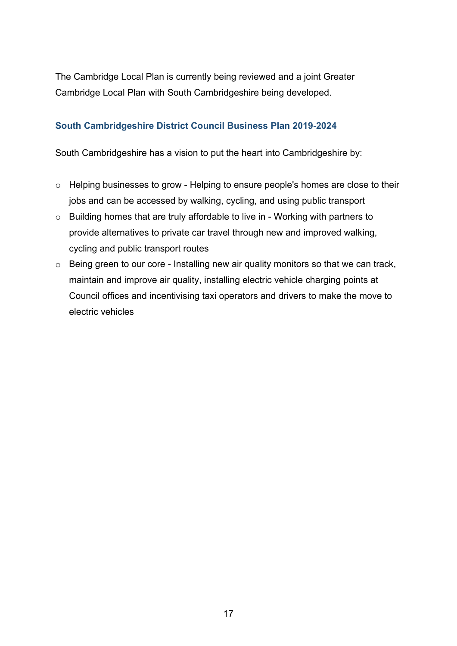The Cambridge Local Plan is currently being reviewed and a joint Greater Cambridge Local Plan with South Cambridgeshire being developed.

#### <span id="page-16-0"></span>**South Cambridgeshire District Council Business Plan 2019-2024**

South Cambridgeshire has a vision to put the heart into Cambridgeshire by:

- o Helping businesses to grow Helping to ensure people's homes are close to their jobs and can be accessed by walking, cycling, and using public transport
- o Building homes that are truly affordable to live in Working with partners to provide alternatives to private car travel through new and improved walking, cycling and public transport routes
- o Being green to our core Installing new air quality monitors so that we can track, maintain and improve air quality, installing electric vehicle charging points at Council offices and incentivising taxi operators and drivers to make the move to electric vehicles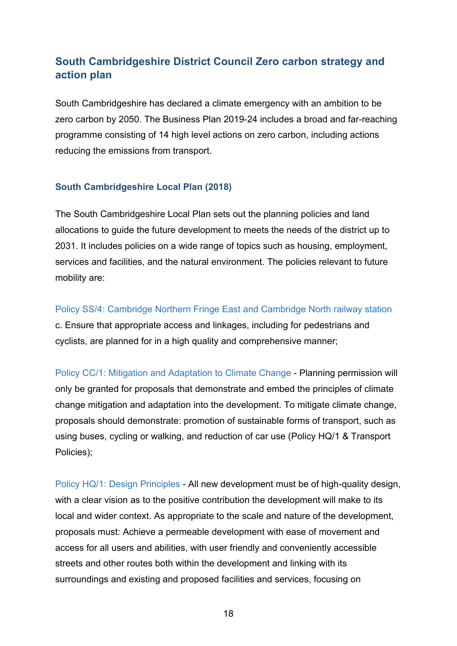## **[South Cambridgeshire District Council Zero carbon strategy and](https://www.scambs.gov.uk/nature-and-climate-change/zero-carbon-strategy-and-action-plan/)  [action plan](https://www.scambs.gov.uk/nature-and-climate-change/zero-carbon-strategy-and-action-plan/)**

South Cambridgeshire has declared a climate emergency with an ambition to be zero carbon by 2050. The Business Plan 2019-24 includes a broad and far-reaching programme consisting of 14 high level actions on zero carbon, including actions reducing the emissions from transport.

#### **South Cambridgeshire Local Plan (2018)**

The South Cambridgeshire Local Plan sets out the planning policies and land allocations to guide the future development to meets the needs of the district up to 2031. It includes policies on a wide range of topics such as housing, employment, services and facilities, and the natural environment. The policies relevant to future mobility are:

Policy SS/4: Cambridge Northern Fringe East and Cambridge North railway station c. Ensure that appropriate access and linkages, including for pedestrians and cyclists, are planned for in a high quality and comprehensive manner;

Policy CC/1: Mitigation and Adaptation to Climate Change - Planning permission will only be granted for proposals that demonstrate and embed the principles of climate change mitigation and adaptation into the development. To mitigate climate change, proposals should demonstrate: promotion of sustainable forms of transport, such as using buses, cycling or walking, and reduction of car use (Policy HQ/1 & Transport Policies);

Policy HQ/1: Design Principles - All new development must be of high-quality design, with a clear vision as to the positive contribution the development will make to its local and wider context. As appropriate to the scale and nature of the development, proposals must: Achieve a permeable development with ease of movement and access for all users and abilities, with user friendly and conveniently accessible streets and other routes both within the development and linking with its surroundings and existing and proposed facilities and services, focusing on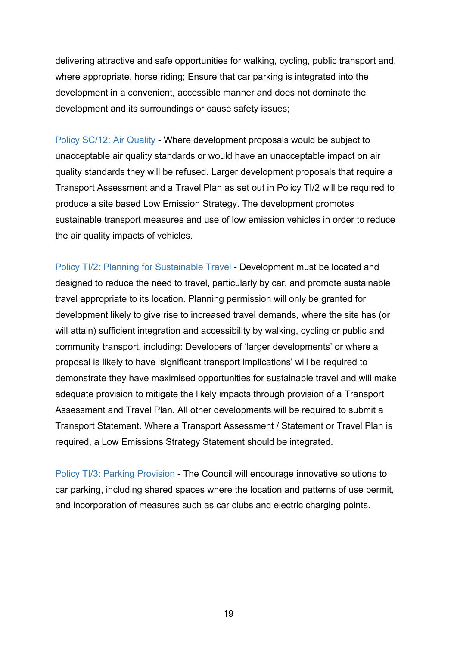delivering attractive and safe opportunities for walking, cycling, public transport and, where appropriate, horse riding; Ensure that car parking is integrated into the development in a convenient, accessible manner and does not dominate the development and its surroundings or cause safety issues;

Policy SC/12: Air Quality - Where development proposals would be subject to unacceptable air quality standards or would have an unacceptable impact on air quality standards they will be refused. Larger development proposals that require a Transport Assessment and a Travel Plan as set out in Policy TI/2 will be required to produce a site based Low Emission Strategy. The development promotes sustainable transport measures and use of low emission vehicles in order to reduce the air quality impacts of vehicles.

Policy TI/2: Planning for Sustainable Travel - Development must be located and designed to reduce the need to travel, particularly by car, and promote sustainable travel appropriate to its location. Planning permission will only be granted for development likely to give rise to increased travel demands, where the site has (or will attain) sufficient integration and accessibility by walking, cycling or public and community transport, including: Developers of 'larger developments' or where a proposal is likely to have 'significant transport implications' will be required to demonstrate they have maximised opportunities for sustainable travel and will make adequate provision to mitigate the likely impacts through provision of a Transport Assessment and Travel Plan. All other developments will be required to submit a Transport Statement. Where a Transport Assessment / Statement or Travel Plan is required, a Low Emissions Strategy Statement should be integrated.

<span id="page-18-0"></span>Policy TI/3: Parking Provision - The Council will encourage innovative solutions to car parking, including shared spaces where the location and patterns of use permit, and incorporation of measures such as car clubs and electric charging points.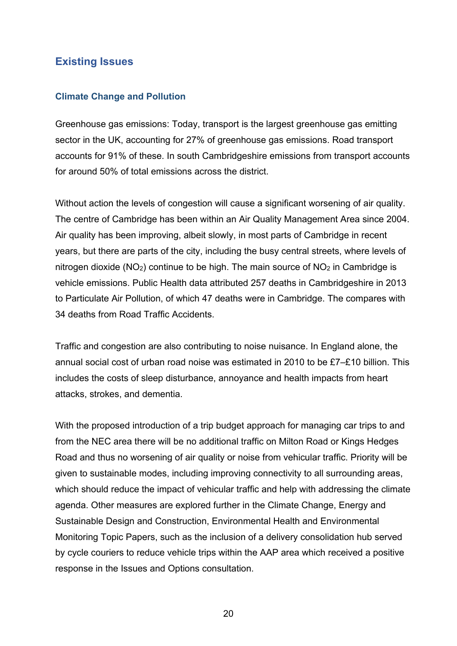#### **Existing Issues**

#### <span id="page-19-0"></span>**Climate Change and Pollution**

Greenhouse gas emissions: Today, transport is the largest greenhouse gas emitting sector in the UK, accounting for 27% of greenhouse gas emissions. Road transport accounts for 91% of these. In south Cambridgeshire emissions from transport accounts for around 50% of total emissions across the district.

Without action the levels of congestion will cause a significant worsening of air quality. The centre of Cambridge has been within an Air Quality Management Area since 2004. Air quality has been improving, albeit slowly, in most parts of Cambridge in recent years, but there are parts of the city, including the busy central streets, where levels of nitrogen dioxide ( $NO<sub>2</sub>$ ) continue to be high. The main source of  $NO<sub>2</sub>$  in Cambridge is vehicle emissions. Public Health data attributed 257 deaths in Cambridgeshire in 2013 to Particulate Air Pollution, of which 47 deaths were in Cambridge. The compares with 34 deaths from Road Traffic Accidents.

Traffic and congestion are also contributing to noise nuisance. In England alone, the annual social cost of urban road noise was estimated in 2010 to be £7–£10 billion. This includes the costs of sleep disturbance, annoyance and health impacts from heart attacks, strokes, and dementia.

With the proposed introduction of a trip budget approach for managing car trips to and from the NEC area there will be no additional traffic on Milton Road or Kings Hedges Road and thus no worsening of air quality or noise from vehicular traffic. Priority will be given to sustainable modes, including improving connectivity to all surrounding areas, which should reduce the impact of vehicular traffic and help with addressing the climate agenda. Other measures are explored further in the Climate Change, Energy and Sustainable Design and Construction, Environmental Health and Environmental Monitoring Topic Papers, such as the inclusion of a delivery consolidation hub served by cycle couriers to reduce vehicle trips within the AAP area which received a positive response in the Issues and Options consultation.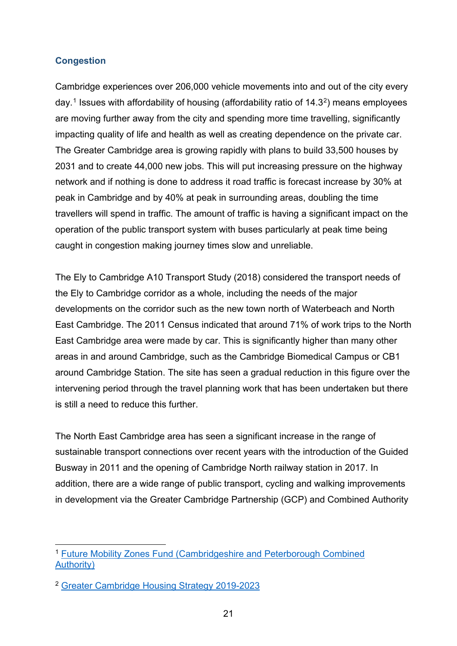#### <span id="page-20-0"></span>**Congestion**

Cambridge experiences over 206,000 vehicle movements into and out of the city every day.<sup>[1](#page-20-1)</sup> Issues with affordability of housing (affordability ratio of  $14.3<sup>2</sup>$  $14.3<sup>2</sup>$  $14.3<sup>2</sup>$ ) means employees are moving further away from the city and spending more time travelling, significantly impacting quality of life and health as well as creating dependence on the private car. The Greater Cambridge area is growing rapidly with plans to build 33,500 houses by 2031 and to create 44,000 new jobs. This will put increasing pressure on the highway network and if nothing is done to address it road traffic is forecast increase by 30% at peak in Cambridge and by 40% at peak in surrounding areas, doubling the time travellers will spend in traffic. The amount of traffic is having a significant impact on the operation of the public transport system with buses particularly at peak time being caught in congestion making journey times slow and unreliable.

The Ely to Cambridge A10 Transport Study (2018) considered the transport needs of the Ely to Cambridge corridor as a whole, including the needs of the major developments on the corridor such as the new town north of Waterbeach and North East Cambridge. The 2011 Census indicated that around 71% of work trips to the North East Cambridge area were made by car. This is significantly higher than many other areas in and around Cambridge, such as the Cambridge Biomedical Campus or CB1 around Cambridge Station. The site has seen a gradual reduction in this figure over the intervening period through the travel planning work that has been undertaken but there is still a need to reduce this further.

The North East Cambridge area has seen a significant increase in the range of sustainable transport connections over recent years with the introduction of the Guided Busway in 2011 and the opening of Cambridge North railway station in 2017. In addition, there are a wide range of public transport, cycling and walking improvements in development via the Greater Cambridge Partnership (GCP) and Combined Authority

<span id="page-20-1"></span><sup>1</sup> [Future Mobility Zones Fund \(Cambridgeshire and Peterborough Combined](http://cambridgeshirepeterborough-ca.gov.uk/wp-content/uploads/documents/transport/central-government-proposals-and-funding/Future-Mobility-Zones-Fund/190523-CPCA-FMZ-Bid-Final-V1.0.pdf)  [Authority\)](http://cambridgeshirepeterborough-ca.gov.uk/wp-content/uploads/documents/transport/central-government-proposals-and-funding/Future-Mobility-Zones-Fund/190523-CPCA-FMZ-Bid-Final-V1.0.pdf)

<span id="page-20-2"></span><sup>2</sup> [Greater Cambridge Housing Strategy 2019-2023](https://www.scambs.gov.uk/media/13250/greater-cambridge-housing-strategy-2019-2023.pdf)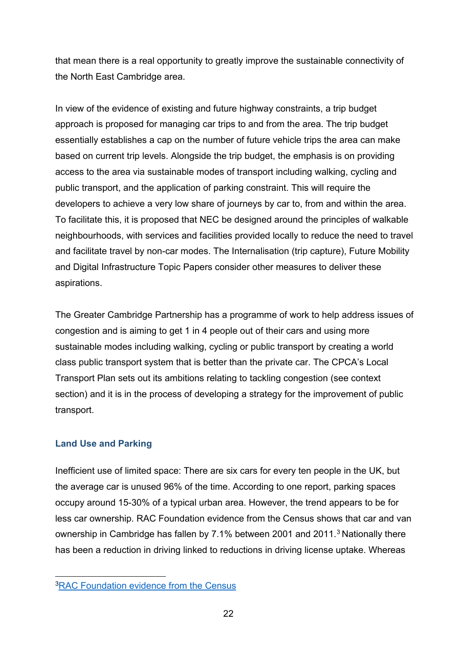that mean there is a real opportunity to greatly improve the sustainable connectivity of the North East Cambridge area.

In view of the evidence of existing and future highway constraints, a trip budget approach is proposed for managing car trips to and from the area. The trip budget essentially establishes a cap on the number of future vehicle trips the area can make based on current trip levels. Alongside the trip budget, the emphasis is on providing access to the area via sustainable modes of transport including walking, cycling and public transport, and the application of parking constraint. This will require the developers to achieve a very low share of journeys by car to, from and within the area. To facilitate this, it is proposed that NEC be designed around the principles of walkable neighbourhoods, with services and facilities provided locally to reduce the need to travel and facilitate travel by non-car modes. The Internalisation (trip capture), Future Mobility and Digital Infrastructure Topic Papers consider other measures to deliver these aspirations.

The Greater Cambridge Partnership has a programme of work to help address issues of congestion and is aiming to get 1 in 4 people out of their cars and using more sustainable modes including walking, cycling or public transport by creating a world class public transport system that is better than the private car. The CPCA's Local Transport Plan sets out its ambitions relating to tackling congestion (see context section) and it is in the process of developing a strategy for the improvement of public transport.

#### <span id="page-21-0"></span>**Land Use and Parking**

Inefficient use of limited space: There are six cars for every ten people in the UK, but the average car is unused 96% of the time. According to one report, parking spaces occupy around 15-30% of a typical urban area. However, the trend appears to be for less car ownership. RAC Foundation evidence from the Census shows that car and van ownership in Cambridge has fallen by 7.1% between 2001 and 2011. [3](#page-21-1) Nationally there has been a reduction in driving linked to reductions in driving license uptake. Whereas

<span id="page-21-1"></span>[<sup>3</sup>RAC Foundation evidence from the Census](https://www.racfoundation.org/assets/rac_foundation/content/downloadables/car%20ownership%20rates%20by%20local%20authority%20-%20december%202012.pdf)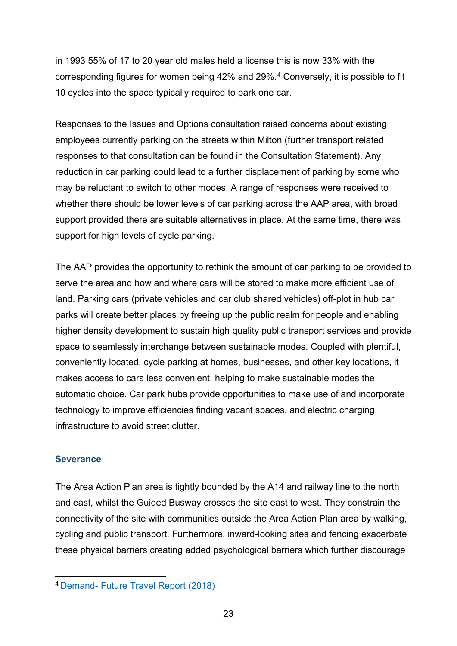in 1993 55% of 17 to 20 year old males held a license this is now 33% with the corresponding figures for women being 42% and 29%.[4](#page-22-1) Conversely, it is possible to fit 10 cycles into the space typically required to park one car.

Responses to the Issues and Options consultation raised concerns about existing employees currently parking on the streets within Milton (further transport related responses to that consultation can be found in the Consultation Statement). Any reduction in car parking could lead to a further displacement of parking by some who may be reluctant to switch to other modes. A range of responses were received to whether there should be lower levels of car parking across the AAP area, with broad support provided there are suitable alternatives in place. At the same time, there was support for high levels of cycle parking.

The AAP provides the opportunity to rethink the amount of car parking to be provided to serve the area and how and where cars will be stored to make more efficient use of land. Parking cars (private vehicles and car club shared vehicles) off-plot in hub car parks will create better places by freeing up the public realm for people and enabling higher density development to sustain high quality public transport services and provide space to seamlessly interchange between sustainable modes. Coupled with plentiful, conveniently located, cycle parking at homes, businesses, and other key locations, it makes access to cars less convenient, helping to make sustainable modes the automatic choice. Car park hubs provide opportunities to make use of and incorporate technology to improve efficiencies finding vacant spaces, and electric charging infrastructure to avoid street clutter.

#### <span id="page-22-0"></span>**Severance**

The Area Action Plan area is tightly bounded by the A14 and railway line to the north and east, whilst the Guided Busway crosses the site east to west. They constrain the connectivity of the site with communities outside the Area Action Plan area by walking, cycling and public transport. Furthermore, inward-looking sites and fencing exacerbate these physical barriers creating added psychological barriers which further discourage

<span id="page-22-1"></span><sup>4</sup> Demand- [Future Travel Report \(2018\)](http://www.demand.ac.uk/wp-content/uploads/2018/04/FutureTravel_report_final.pdf)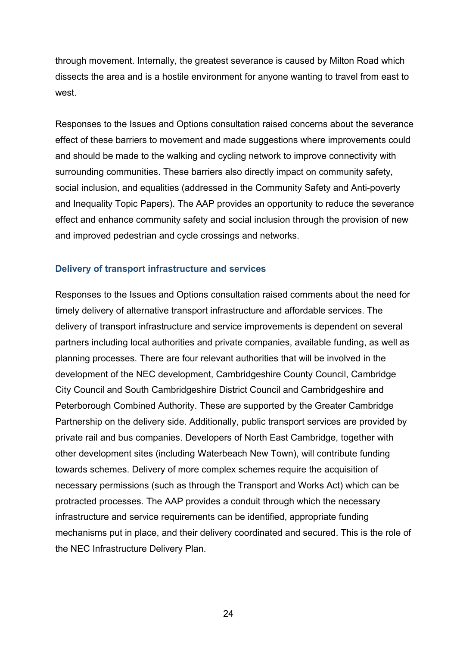through movement. Internally, the greatest severance is caused by Milton Road which dissects the area and is a hostile environment for anyone wanting to travel from east to west

Responses to the Issues and Options consultation raised concerns about the severance effect of these barriers to movement and made suggestions where improvements could and should be made to the walking and cycling network to improve connectivity with surrounding communities. These barriers also directly impact on community safety, social inclusion, and equalities (addressed in the Community Safety and Anti-poverty and Inequality Topic Papers). The AAP provides an opportunity to reduce the severance effect and enhance community safety and social inclusion through the provision of new and improved pedestrian and cycle crossings and networks.

#### <span id="page-23-0"></span>**Delivery of transport infrastructure and services**

Responses to the Issues and Options consultation raised comments about the need for timely delivery of alternative transport infrastructure and affordable services. The delivery of transport infrastructure and service improvements is dependent on several partners including local authorities and private companies, available funding, as well as planning processes. There are four relevant authorities that will be involved in the development of the NEC development, Cambridgeshire County Council, Cambridge City Council and South Cambridgeshire District Council and Cambridgeshire and Peterborough Combined Authority. These are supported by the Greater Cambridge Partnership on the delivery side. Additionally, public transport services are provided by private rail and bus companies. Developers of North East Cambridge, together with other development sites (including Waterbeach New Town), will contribute funding towards schemes. Delivery of more complex schemes require the acquisition of necessary permissions (such as through the Transport and Works Act) which can be protracted processes. The AAP provides a conduit through which the necessary infrastructure and service requirements can be identified, appropriate funding mechanisms put in place, and their delivery coordinated and secured. This is the role of the NEC Infrastructure Delivery Plan.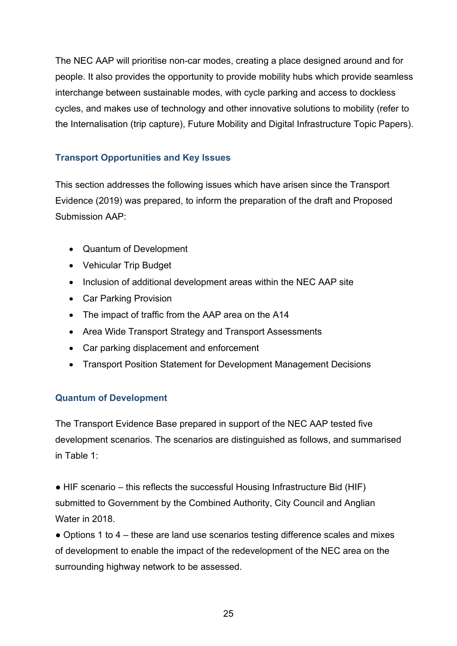The NEC AAP will prioritise non-car modes, creating a place designed around and for people. It also provides the opportunity to provide mobility hubs which provide seamless interchange between sustainable modes, with cycle parking and access to dockless cycles, and makes use of technology and other innovative solutions to mobility (refer to the Internalisation (trip capture), Future Mobility and Digital Infrastructure Topic Papers).

#### <span id="page-24-0"></span>**Transport Opportunities and Key Issues**

This section addresses the following issues which have arisen since the Transport Evidence (2019) was prepared, to inform the preparation of the draft and Proposed Submission AAP:

- Quantum of Development
- Vehicular Trip Budget
- Inclusion of additional development areas within the NEC AAP site
- Car Parking Provision
- The impact of traffic from the AAP area on the A14
- Area Wide Transport Strategy and Transport Assessments
- Car parking displacement and enforcement
- Transport Position Statement for Development Management Decisions

#### <span id="page-24-1"></span>**Quantum of Development**

The Transport Evidence Base prepared in support of the NEC AAP tested five development scenarios. The scenarios are distinguished as follows, and summarised in Table 1:

• HIF scenario – this reflects the successful Housing Infrastructure Bid (HIF) submitted to Government by the Combined Authority, City Council and Anglian Water in 2018.

• Options 1 to 4 – these are land use scenarios testing difference scales and mixes of development to enable the impact of the redevelopment of the NEC area on the surrounding highway network to be assessed.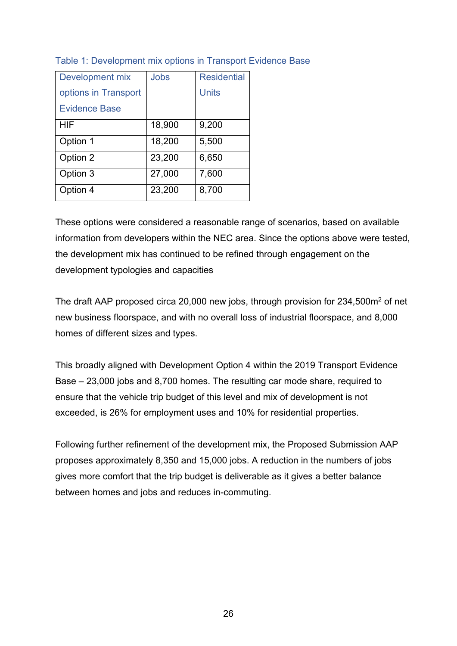| Development mix      | Jobs   | <b>Residential</b> |
|----------------------|--------|--------------------|
| options in Transport |        | <b>Units</b>       |
| <b>Evidence Base</b> |        |                    |
| <b>HIF</b>           | 18,900 | 9,200              |
| Option 1             | 18,200 | 5,500              |
| Option 2             | 23,200 | 6,650              |
| Option 3             | 27,000 | 7,600              |
| Option 4             | 23,200 | 8,700              |

#### Table 1: Development mix options in Transport Evidence Base

These options were considered a reasonable range of scenarios, based on available information from developers within the NEC area. Since the options above were tested, the development mix has continued to be refined through engagement on the development typologies and capacities

The draft AAP proposed circa 20,000 new jobs, through provision for 234,500m2 of net new business floorspace, and with no overall loss of industrial floorspace, and 8,000 homes of different sizes and types.

This broadly aligned with Development Option 4 within the 2019 Transport Evidence Base – 23,000 jobs and 8,700 homes. The resulting car mode share, required to ensure that the vehicle trip budget of this level and mix of development is not exceeded, is 26% for employment uses and 10% for residential properties.

Following further refinement of the development mix, the Proposed Submission AAP proposes approximately 8,350 and 15,000 jobs. A reduction in the numbers of jobs gives more comfort that the trip budget is deliverable as it gives a better balance between homes and jobs and reduces in-commuting.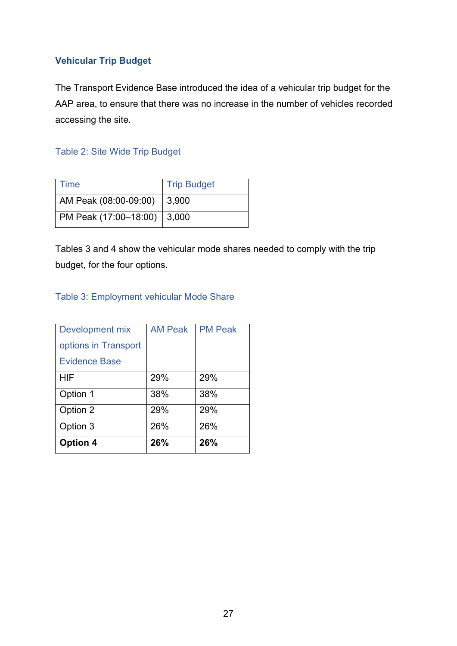#### <span id="page-26-0"></span>**Vehicular Trip Budget**

The Transport Evidence Base introduced the idea of a vehicular trip budget for the AAP area, to ensure that there was no increase in the number of vehicles recorded accessing the site.

#### Table 2: Site Wide Trip Budget

| Time                          | <b>Trip Budget</b> |
|-------------------------------|--------------------|
| AM Peak (08:00-09:00)         | 3,900              |
| PM Peak (17:00-18:00)   3,000 |                    |

Tables 3 and 4 show the vehicular mode shares needed to comply with the trip budget, for the four options.

#### Table 3: Employment vehicular Mode Share

| Development mix      | <b>AM Peak</b> | <b>PM Peak</b> |
|----------------------|----------------|----------------|
| options in Transport |                |                |
| Evidence Base        |                |                |
| <b>HIF</b>           | 29%            | 29%            |
| Option 1             | 38%            | 38%            |
| Option 2             | 29%            | 29%            |
| Option 3             | 26%            | 26%            |
| <b>Option 4</b>      | 26%            | 26%            |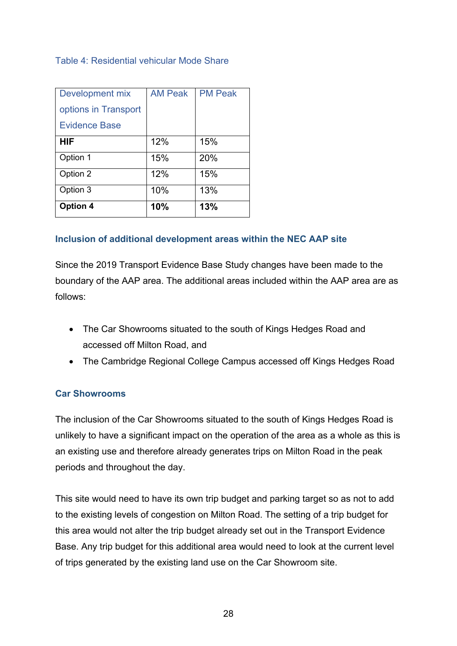#### Table 4: Residential vehicular Mode Share

| Development mix      | <b>AM Peak</b> | <b>PM Peak</b> |
|----------------------|----------------|----------------|
| options in Transport |                |                |
| Evidence Base        |                |                |
| <b>HIF</b>           | 12%            | 15%            |
| Option 1             | 15%            | 20%            |
| Option 2             | 12%            | 15%            |
| Option 3             | 10%            | 13%            |
| <b>Option 4</b>      | 10%            | 13%            |

#### <span id="page-27-0"></span>**Inclusion of additional development areas within the NEC AAP site**

Since the 2019 Transport Evidence Base Study changes have been made to the boundary of the AAP area. The additional areas included within the AAP area are as follows:

- The Car Showrooms situated to the south of Kings Hedges Road and accessed off Milton Road, and
- The Cambridge Regional College Campus accessed off Kings Hedges Road

#### **Car Showrooms**

The inclusion of the Car Showrooms situated to the south of Kings Hedges Road is unlikely to have a significant impact on the operation of the area as a whole as this is an existing use and therefore already generates trips on Milton Road in the peak periods and throughout the day.

This site would need to have its own trip budget and parking target so as not to add to the existing levels of congestion on Milton Road. The setting of a trip budget for this area would not alter the trip budget already set out in the Transport Evidence Base. Any trip budget for this additional area would need to look at the current level of trips generated by the existing land use on the Car Showroom site.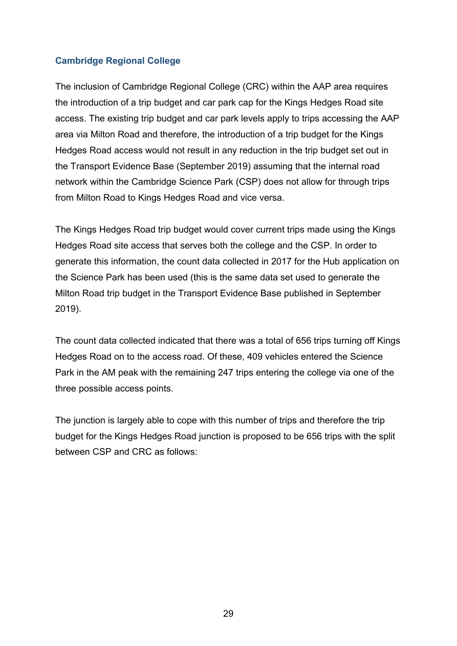#### **Cambridge Regional College**

The inclusion of Cambridge Regional College (CRC) within the AAP area requires the introduction of a trip budget and car park cap for the Kings Hedges Road site access. The existing trip budget and car park levels apply to trips accessing the AAP area via Milton Road and therefore, the introduction of a trip budget for the Kings Hedges Road access would not result in any reduction in the trip budget set out in the Transport Evidence Base (September 2019) assuming that the internal road network within the Cambridge Science Park (CSP) does not allow for through trips from Milton Road to Kings Hedges Road and vice versa.

The Kings Hedges Road trip budget would cover current trips made using the Kings Hedges Road site access that serves both the college and the CSP. In order to generate this information, the count data collected in 2017 for the Hub application on the Science Park has been used (this is the same data set used to generate the Milton Road trip budget in the Transport Evidence Base published in September 2019).

The count data collected indicated that there was a total of 656 trips turning off Kings Hedges Road on to the access road. Of these, 409 vehicles entered the Science Park in the AM peak with the remaining 247 trips entering the college via one of the three possible access points.

The junction is largely able to cope with this number of trips and therefore the trip budget for the Kings Hedges Road junction is proposed to be 656 trips with the split between CSP and CRC as follows: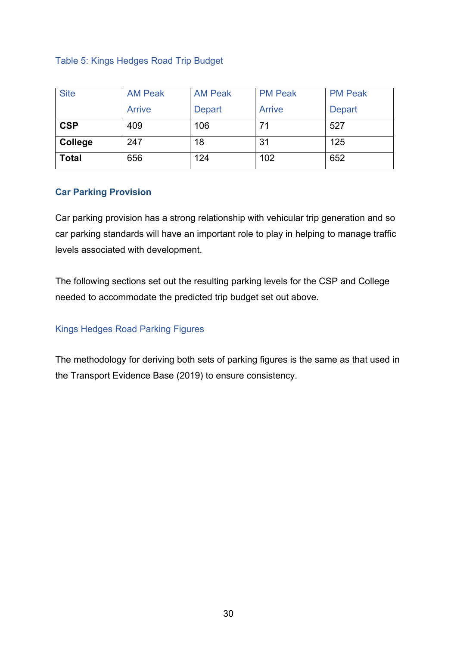Table 5: Kings Hedges Road Trip Budget

| <b>Site</b>  | <b>AM Peak</b> | <b>AM Peak</b> | <b>PM Peak</b> | <b>PM Peak</b> |
|--------------|----------------|----------------|----------------|----------------|
|              | Arrive         | <b>Depart</b>  | Arrive         | <b>Depart</b>  |
| <b>CSP</b>   | 409            | 106            | 71             | 527            |
| College      | 247            | 18             | 31             | 125            |
| <b>Total</b> | 656            | 124            | 102            | 652            |

#### <span id="page-29-0"></span>**Car Parking Provision**

Car parking provision has a strong relationship with vehicular trip generation and so car parking standards will have an important role to play in helping to manage traffic levels associated with development.

The following sections set out the resulting parking levels for the CSP and College needed to accommodate the predicted trip budget set out above.

#### Kings Hedges Road Parking Figures

The methodology for deriving both sets of parking figures is the same as that used in the Transport Evidence Base (2019) to ensure consistency.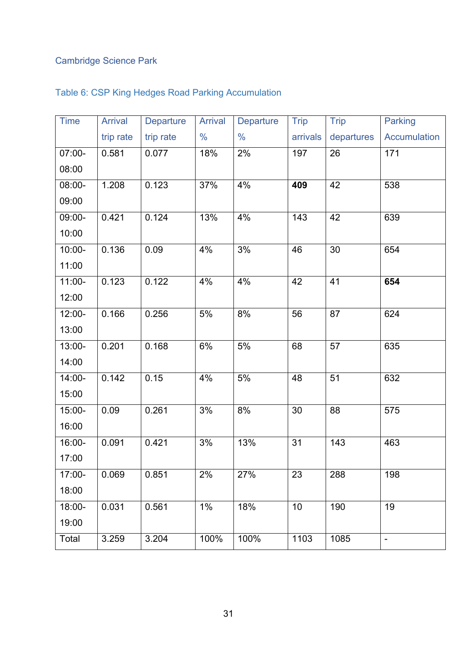## Cambridge Science Park

| <b>Time</b> | <b>Arrival</b> | <b>Departure</b> | <b>Arrival</b> | Departure     | <b>Trip</b> | <b>Trip</b>     | <b>Parking</b>      |
|-------------|----------------|------------------|----------------|---------------|-------------|-----------------|---------------------|
|             | trip rate      | trip rate        | $\frac{0}{0}$  | $\frac{0}{0}$ | arrivals    | departures      | <b>Accumulation</b> |
| 07:00-      | 0.581          | 0.077            | 18%            | 2%            | 197         | 26              | 171                 |
| 08:00       |                |                  |                |               |             |                 |                     |
| 08:00-      | 1.208          | 0.123            | 37%            | 4%            | 409         | 42              | 538                 |
| 09:00       |                |                  |                |               |             |                 |                     |
| 09:00-      | 0.421          | 0.124            | 13%            | 4%            | 143         | 42              | 639                 |
| 10:00       |                |                  |                |               |             |                 |                     |
| 10:00-      | 0.136          | 0.09             | 4%             | 3%            | 46          | 30              | 654                 |
| 11:00       |                |                  |                |               |             |                 |                     |
| $11:00 -$   | 0.123          | 0.122            | 4%             | 4%            | 42          | 41              | 654                 |
| 12:00       |                |                  |                |               |             |                 |                     |
| 12:00-      | 0.166          | 0.256            | 5%             | 8%            | 56          | 87              | 624                 |
| 13:00       |                |                  |                |               |             |                 |                     |
| 13:00-      | 0.201          | 0.168            | 6%             | 5%            | 68          | 57              | 635                 |
| 14:00       |                |                  |                |               |             |                 |                     |
| 14:00-      | 0.142          | 0.15             | 4%             | 5%            | 48          | $\overline{51}$ | 632                 |
| 15:00       |                |                  |                |               |             |                 |                     |
| 15:00-      | 0.09           | 0.261            | 3%             | 8%            | 30          | 88              | 575                 |
| 16:00       |                |                  |                |               |             |                 |                     |
| 16:00-      | 0.091          | 0.421            | 3%             | 13%           | 31          | 143             | 463                 |
| 17:00       |                |                  |                |               |             |                 |                     |
| 17:00-      | 0.069          | 0.851            | 2%             | 27%           | 23          | 288             | 198                 |
| 18:00       |                |                  |                |               |             |                 |                     |
| 18:00-      | 0.031          | 0.561            | $1\%$          | 18%           | 10          | 190             | 19                  |
| 19:00       |                |                  |                |               |             |                 |                     |
| Total       | 3.259          | 3.204            | 100%           | 100%          | 1103        | 1085            | $\blacksquare$      |

## Table 6: CSP King Hedges Road Parking Accumulation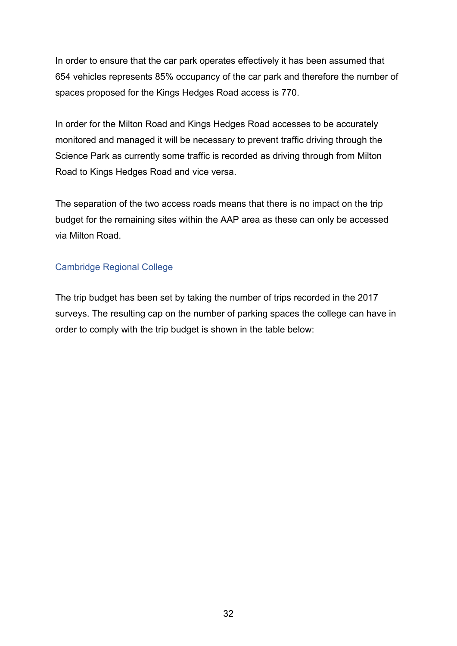In order to ensure that the car park operates effectively it has been assumed that 654 vehicles represents 85% occupancy of the car park and therefore the number of spaces proposed for the Kings Hedges Road access is 770.

In order for the Milton Road and Kings Hedges Road accesses to be accurately monitored and managed it will be necessary to prevent traffic driving through the Science Park as currently some traffic is recorded as driving through from Milton Road to Kings Hedges Road and vice versa.

The separation of the two access roads means that there is no impact on the trip budget for the remaining sites within the AAP area as these can only be accessed via Milton Road.

#### Cambridge Regional College

The trip budget has been set by taking the number of trips recorded in the 2017 surveys. The resulting cap on the number of parking spaces the college can have in order to comply with the trip budget is shown in the table below: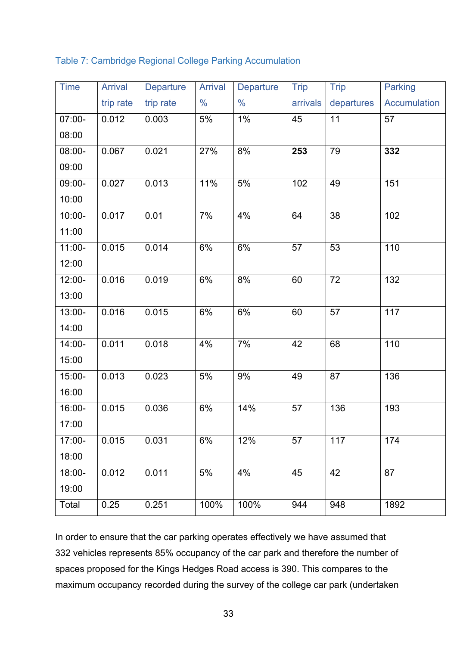Table 7: Cambridge Regional College Parking Accumulation

| <b>Time</b> | <b>Arrival</b> | <b>Departure</b> | <b>Arrival</b> | <b>Departure</b> | <b>Trip</b> | <b>Trip</b>     | <b>Parking</b>      |
|-------------|----------------|------------------|----------------|------------------|-------------|-----------------|---------------------|
|             | trip rate      | trip rate        | $\frac{0}{0}$  | $\frac{0}{0}$    | arrivals    | departures      | <b>Accumulation</b> |
| 07:00-      | 0.012          | 0.003            | 5%             | $1\%$            | 45          | 11              | 57                  |
| 08:00       |                |                  |                |                  |             |                 |                     |
| 08:00-      | 0.067          | 0.021            | 27%            | 8%               | 253         | 79              | 332                 |
| 09:00       |                |                  |                |                  |             |                 |                     |
| 09:00-      | 0.027          | 0.013            | 11%            | 5%               | 102         | 49              | 151                 |
| 10:00       |                |                  |                |                  |             |                 |                     |
| $10:00 -$   | 0.017          | 0.01             | 7%             | 4%               | 64          | 38              | 102                 |
| 11:00       |                |                  |                |                  |             |                 |                     |
| $11:00 -$   | 0.015          | 0.014            | 6%             | 6%               | 57          | 53              | 110                 |
| 12:00       |                |                  |                |                  |             |                 |                     |
| 12:00-      | 0.016          | 0.019            | 6%             | 8%               | 60          | $\overline{72}$ | 132                 |
| 13:00       |                |                  |                |                  |             |                 |                     |
| 13:00-      | 0.016          | 0.015            | 6%             | 6%               | 60          | 57              | 117                 |
| 14:00       |                |                  |                |                  |             |                 |                     |
| 14:00-      | 0.011          | 0.018            | 4%             | 7%               | 42          | 68              | 110                 |
| 15:00       |                |                  |                |                  |             |                 |                     |
| 15:00-      | 0.013          | 0.023            | 5%             | 9%               | 49          | 87              | 136                 |
| 16:00       |                |                  |                |                  |             |                 |                     |
| 16:00-      | 0.015          | 0.036            | 6%             | 14%              | 57          | 136             | 193                 |
| 17:00       |                |                  |                |                  |             |                 |                     |
| $17:00 -$   | 0.015          | 0.031            | 6%             | 12%              | 57          | 117             | 174                 |
| 18:00       |                |                  |                |                  |             |                 |                     |
| 18:00-      | 0.012          | 0.011            | 5%             | 4%               | 45          | 42              | 87                  |
| 19:00       |                |                  |                |                  |             |                 |                     |
| Total       | 0.25           | 0.251            | 100%           | 100%             | 944         | 948             | 1892                |

In order to ensure that the car parking operates effectively we have assumed that 332 vehicles represents 85% occupancy of the car park and therefore the number of spaces proposed for the Kings Hedges Road access is 390. This compares to the maximum occupancy recorded during the survey of the college car park (undertaken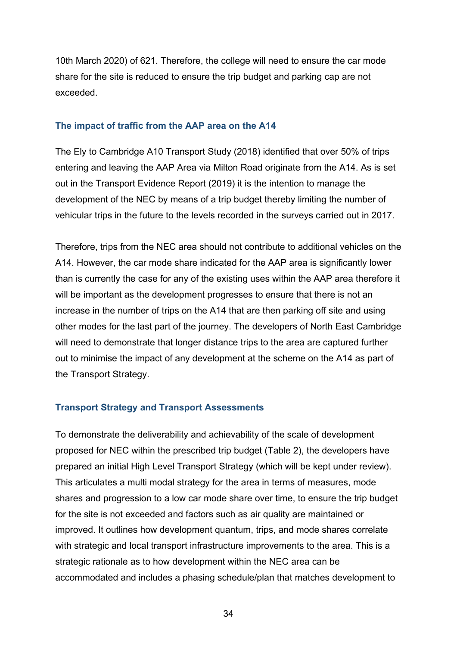10th March 2020) of 621. Therefore, the college will need to ensure the car mode share for the site is reduced to ensure the trip budget and parking cap are not exceeded.

#### <span id="page-33-0"></span>**The impact of traffic from the AAP area on the A14**

The Ely to Cambridge A10 Transport Study (2018) identified that over 50% of trips entering and leaving the AAP Area via Milton Road originate from the A14. As is set out in the Transport Evidence Report (2019) it is the intention to manage the development of the NEC by means of a trip budget thereby limiting the number of vehicular trips in the future to the levels recorded in the surveys carried out in 2017.

Therefore, trips from the NEC area should not contribute to additional vehicles on the A14. However, the car mode share indicated for the AAP area is significantly lower than is currently the case for any of the existing uses within the AAP area therefore it will be important as the development progresses to ensure that there is not an increase in the number of trips on the A14 that are then parking off site and using other modes for the last part of the journey. The developers of North East Cambridge will need to demonstrate that longer distance trips to the area are captured further out to minimise the impact of any development at the scheme on the A14 as part of the Transport Strategy.

#### <span id="page-33-1"></span>**Transport Strategy and Transport Assessments**

To demonstrate the deliverability and achievability of the scale of development proposed for NEC within the prescribed trip budget (Table 2), the developers have prepared an initial High Level Transport Strategy (which will be kept under review). This articulates a multi modal strategy for the area in terms of measures, mode shares and progression to a low car mode share over time, to ensure the trip budget for the site is not exceeded and factors such as air quality are maintained or improved. It outlines how development quantum, trips, and mode shares correlate with strategic and local transport infrastructure improvements to the area. This is a strategic rationale as to how development within the NEC area can be accommodated and includes a phasing schedule/plan that matches development to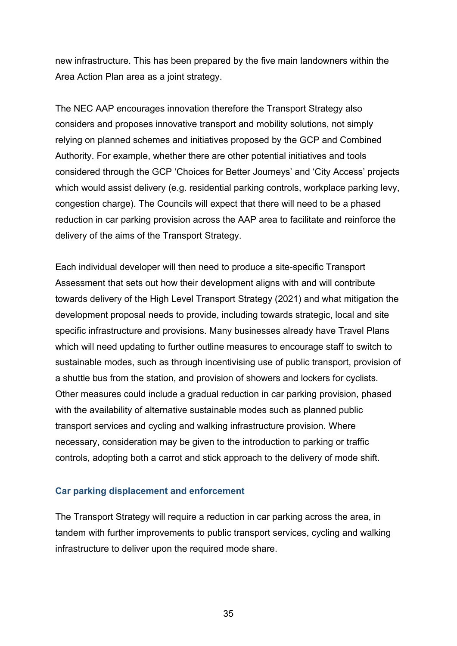new infrastructure. This has been prepared by the five main landowners within the Area Action Plan area as a joint strategy.

The NEC AAP encourages innovation therefore the Transport Strategy also considers and proposes innovative transport and mobility solutions, not simply relying on planned schemes and initiatives proposed by the GCP and Combined Authority. For example, whether there are other potential initiatives and tools considered through the GCP 'Choices for Better Journeys' and 'City Access' projects which would assist delivery (e.g. residential parking controls, workplace parking levy, congestion charge). The Councils will expect that there will need to be a phased reduction in car parking provision across the AAP area to facilitate and reinforce the delivery of the aims of the Transport Strategy.

Each individual developer will then need to produce a site-specific Transport Assessment that sets out how their development aligns with and will contribute towards delivery of the High Level Transport Strategy (2021) and what mitigation the development proposal needs to provide, including towards strategic, local and site specific infrastructure and provisions. Many businesses already have Travel Plans which will need updating to further outline measures to encourage staff to switch to sustainable modes, such as through incentivising use of public transport, provision of a shuttle bus from the station, and provision of showers and lockers for cyclists. Other measures could include a gradual reduction in car parking provision, phased with the availability of alternative sustainable modes such as planned public transport services and cycling and walking infrastructure provision. Where necessary, consideration may be given to the introduction to parking or traffic controls, adopting both a carrot and stick approach to the delivery of mode shift.

#### <span id="page-34-0"></span>**Car parking displacement and enforcement**

The Transport Strategy will require a reduction in car parking across the area, in tandem with further improvements to public transport services, cycling and walking infrastructure to deliver upon the required mode share.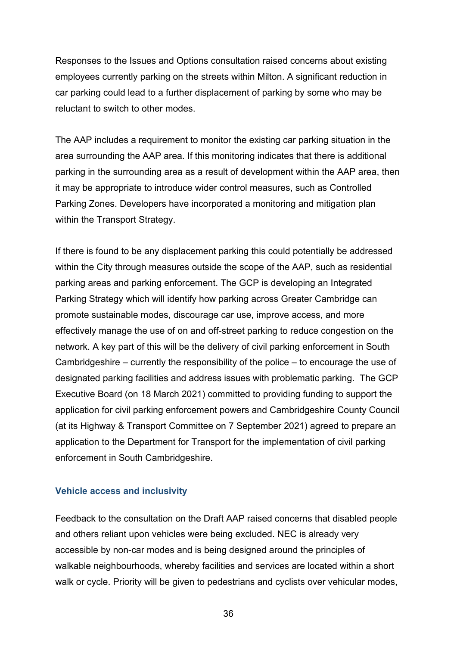Responses to the Issues and Options consultation raised concerns about existing employees currently parking on the streets within Milton. A significant reduction in car parking could lead to a further displacement of parking by some who may be reluctant to switch to other modes.

The AAP includes a requirement to monitor the existing car parking situation in the area surrounding the AAP area. If this monitoring indicates that there is additional parking in the surrounding area as a result of development within the AAP area, then it may be appropriate to introduce wider control measures, such as Controlled Parking Zones. Developers have incorporated a monitoring and mitigation plan within the Transport Strategy.

If there is found to be any displacement parking this could potentially be addressed within the City through measures outside the scope of the AAP, such as residential parking areas and parking enforcement. The GCP is developing an Integrated Parking Strategy which will identify how parking across Greater Cambridge can promote sustainable modes, discourage car use, improve access, and more effectively manage the use of on and off-street parking to reduce congestion on the network. A key part of this will be the delivery of civil parking enforcement in South Cambridgeshire – currently the responsibility of the police – to encourage the use of designated parking facilities and address issues with problematic parking. The GCP Executive Board (on 18 March 2021) committed to providing funding to support the application for civil parking enforcement powers and Cambridgeshire County Council (at its Highway & Transport Committee on 7 September 2021) agreed to prepare an application to the Department for Transport for the implementation of civil parking enforcement in South Cambridgeshire.

#### **Vehicle access and inclusivity**

Feedback to the consultation on the Draft AAP raised concerns that disabled people and others reliant upon vehicles were being excluded. NEC is already very accessible by non-car modes and is being designed around the principles of walkable neighbourhoods, whereby facilities and services are located within a short walk or cycle. Priority will be given to pedestrians and cyclists over vehicular modes,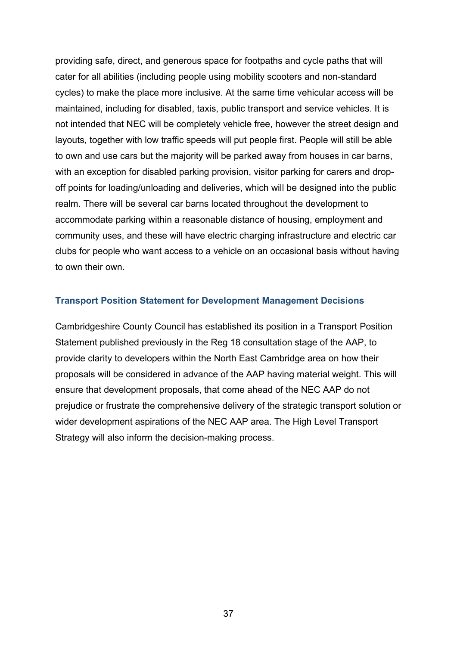providing safe, direct, and generous space for footpaths and cycle paths that will cater for all abilities (including people using mobility scooters and non-standard cycles) to make the place more inclusive. At the same time vehicular access will be maintained, including for disabled, taxis, public transport and service vehicles. It is not intended that NEC will be completely vehicle free, however the street design and layouts, together with low traffic speeds will put people first. People will still be able to own and use cars but the majority will be parked away from houses in car barns, with an exception for disabled parking provision, visitor parking for carers and dropoff points for loading/unloading and deliveries, which will be designed into the public realm. There will be several car barns located throughout the development to accommodate parking within a reasonable distance of housing, employment and community uses, and these will have electric charging infrastructure and electric car clubs for people who want access to a vehicle on an occasional basis without having to own their own.

#### <span id="page-36-0"></span>**Transport Position Statement for Development Management Decisions**

<span id="page-36-1"></span>Cambridgeshire County Council has established its position in a Transport Position Statement published previously in the Reg 18 consultation stage of the AAP, to provide clarity to developers within the North East Cambridge area on how their proposals will be considered in advance of the AAP having material weight. This will ensure that development proposals, that come ahead of the NEC AAP do not prejudice or frustrate the comprehensive delivery of the strategic transport solution or wider development aspirations of the NEC AAP area. The High Level Transport Strategy will also inform the decision-making process.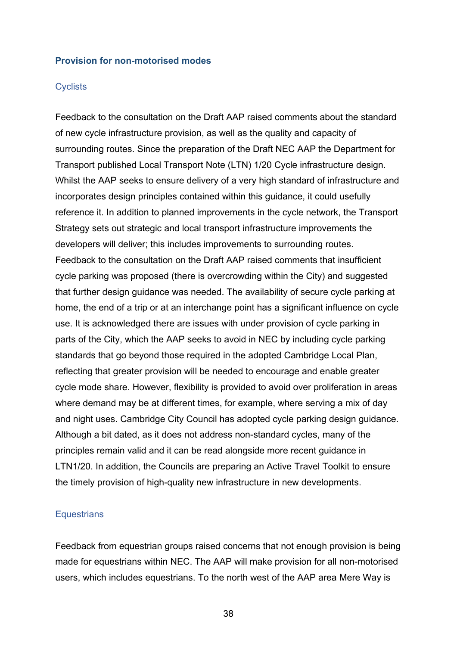#### **Provision for non-motorised modes**

#### **Cyclists**

Feedback to the consultation on the Draft AAP raised comments about the standard of new cycle infrastructure provision, as well as the quality and capacity of surrounding routes. Since the preparation of the Draft NEC AAP the Department for Transport published Local Transport Note [\(LTN\) 1/20 Cycle infrastructure design.](https://assets.publishing.service.gov.uk/government/uploads/system/uploads/attachment_data/file/951074/cycle-infrastructure-design-ltn-1-20.pdf) Whilst the AAP seeks to ensure delivery of a very high standard of infrastructure and incorporates design principles contained within this guidance, it could usefully reference it. In addition to planned improvements in the cycle network, the Transport Strategy sets out strategic and local transport infrastructure improvements the developers will deliver; this includes improvements to surrounding routes. Feedback to the consultation on the Draft AAP raised comments that insufficient cycle parking was proposed (there is overcrowding within the City) and suggested that further design guidance was needed. The availability of secure cycle parking at home, the end of a trip or at an interchange point has a significant influence on cycle use. It is acknowledged there are issues with under provision of cycle parking in parts of the City, which the AAP seeks to avoid in NEC by including cycle parking standards that go beyond those required in the adopted Cambridge Local Plan, reflecting that greater provision will be needed to encourage and enable greater cycle mode share. However, flexibility is provided to avoid over proliferation in areas where demand may be at different times, for example, where serving a mix of day and night uses. Cambridge City Council has adopted cycle parking design guidance. Although a bit dated, as it does not address non-standard cycles, many of the principles remain valid and it can be read alongside more recent guidance in LTN1/20. In addition, the Councils are preparing an Active Travel Toolkit to ensure the timely provision of high-quality new infrastructure in new developments.

#### **Equestrians**

Feedback from equestrian groups raised concerns that not enough provision is being made for equestrians within NEC. The AAP will make provision for all non-motorised users, which includes equestrians. To the north west of the AAP area Mere Way is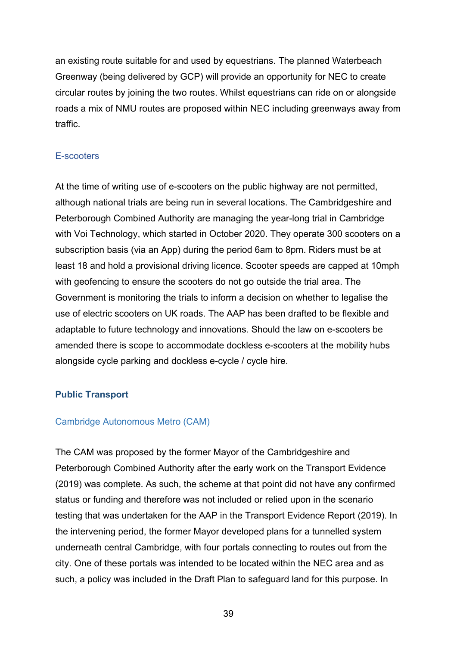an existing route suitable for and used by equestrians. The planned Waterbeach Greenway (being delivered by GCP) will provide an opportunity for NEC to create circular routes by joining the two routes. Whilst equestrians can ride on or alongside roads a mix of NMU routes are proposed within NEC including greenways away from traffic.

#### E-scooters

At the time of writing use of e-scooters on the public highway are not permitted, although national trials are being run in several locations. The Cambridgeshire and Peterborough Combined Authority are managing the year-long trial in Cambridge with Voi Technology, which started in October 2020. They operate 300 scooters on a subscription basis (via an App) during the period 6am to 8pm. Riders must be at least 18 and hold a provisional driving licence. Scooter speeds are capped at 10mph with geofencing to ensure the scooters do not go outside the trial area. The Government is monitoring the trials to inform a decision on whether to legalise the use of electric scooters on UK roads. The AAP has been drafted to be flexible and adaptable to future technology and innovations. Should the law on e-scooters be amended there is scope to accommodate dockless e-scooters at the mobility hubs alongside cycle parking and dockless e-cycle / cycle hire.

#### <span id="page-38-0"></span>**Public Transport**

#### Cambridge Autonomous Metro (CAM)

The CAM was proposed by the former Mayor of the Cambridgeshire and Peterborough Combined Authority after the early work on the Transport Evidence (2019) was complete. As such, the scheme at that point did not have any confirmed status or funding and therefore was not included or relied upon in the scenario testing that was undertaken for the AAP in the Transport Evidence Report (2019). In the intervening period, the former Mayor developed plans for a tunnelled system underneath central Cambridge, with four portals connecting to routes out from the city. One of these portals was intended to be located within the NEC area and as such, a policy was included in the Draft Plan to safeguard land for this purpose. In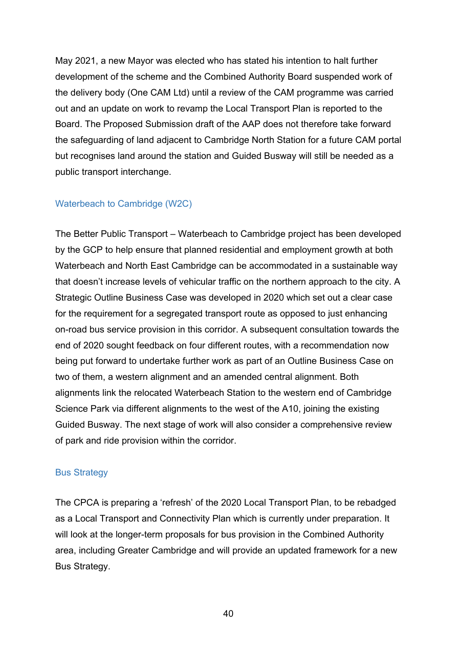May 2021, a new Mayor was elected who has stated his intention to halt further development of the scheme and the Combined Authority Board suspended work of the delivery body (One CAM Ltd) until a review of the CAM programme was carried out and an update on work to revamp the Local Transport Plan is reported to the Board. The Proposed Submission draft of the AAP does not therefore take forward the safeguarding of land adjacent to Cambridge North Station for a future CAM portal but recognises land around the station and Guided Busway will still be needed as a public transport interchange.

#### [Waterbeach to Cambridge \(W2C\)](https://consultcambs.uk.engagementhq.com/waterbeach-to-cambridge)

The Better Public Transport – Waterbeach to Cambridge project has been developed by the GCP to help ensure that planned residential and employment growth at both Waterbeach and North East Cambridge can be accommodated in a sustainable way that doesn't increase levels of vehicular traffic on the northern approach to the city. A Strategic Outline Business Case was developed in 2020 which set out a clear case for the requirement for a segregated transport route as opposed to just enhancing on-road bus service provision in this corridor. A subsequent consultation towards the end of 2020 sought feedback on four different routes, with a recommendation now being put forward to undertake further work as part of an Outline Business Case on two of them, a western alignment and an amended central alignment. Both alignments link the relocated Waterbeach Station to the western end of Cambridge Science Park via different alignments to the west of the A10, joining the existing Guided Busway. The next stage of work will also consider a comprehensive review of park and ride provision within the corridor.

#### Bus Strategy

The CPCA is preparing a 'refresh' of the 2020 Local Transport Plan, to be rebadged as a Local Transport and Connectivity Plan which is currently under preparation. It will look at the longer-term proposals for bus provision in the Combined Authority area, including Greater Cambridge and will provide an updated framework for a new Bus Strategy.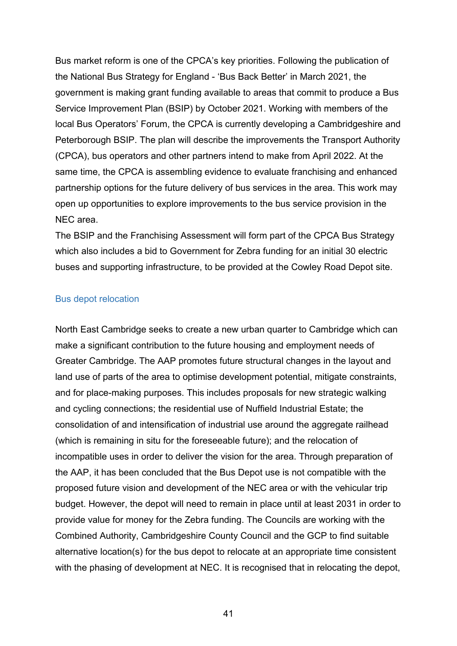Bus market reform is one of the CPCA's key priorities. Following the publication of the National [Bus Strategy for England -](https://assets.publishing.service.gov.uk/government/uploads/system/uploads/attachment_data/file/980227/DfT-Bus-Back-Better-national-bus-strategy-for-England.pdf) 'Bus Back Better' in March 2021, the government is making grant funding available to areas that commit to produce a Bus Service Improvement Plan (BSIP) by October 2021. Working with members of the local Bus Operators' Forum, the CPCA is currently developing a Cambridgeshire and Peterborough BSIP. The plan will describe the improvements the Transport Authority (CPCA), bus operators and other partners intend to make from April 2022. At the same time, the CPCA is assembling evidence to evaluate franchising and enhanced partnership options for the future delivery of bus services in the area. This work may open up opportunities to explore improvements to the bus service provision in the NEC area.

The BSIP and the Franchising Assessment will form part of the CPCA Bus Strategy which also includes a bid to Government for Zebra funding for an initial 30 electric buses and supporting infrastructure, to be provided at the Cowley Road Depot site.

#### Bus depot relocation

North East Cambridge seeks to create a new urban quarter to Cambridge which can make a significant contribution to the future housing and employment needs of Greater Cambridge. The AAP promotes future structural changes in the layout and land use of parts of the area to optimise development potential, mitigate constraints, and for place-making purposes. This includes proposals for new strategic walking and cycling connections; the residential use of Nuffield Industrial Estate; the consolidation of and intensification of industrial use around the aggregate railhead (which is remaining in situ for the foreseeable future); and the relocation of incompatible uses in order to deliver the vision for the area. Through preparation of the AAP, it has been concluded that the Bus Depot use is not compatible with the proposed future vision and development of the NEC area or with the vehicular trip budget. However, the depot will need to remain in place until at least 2031 in order to provide value for money for the Zebra funding. The Councils are working with the Combined Authority, Cambridgeshire County Council and the GCP to find suitable alternative location(s) for the bus depot to relocate at an appropriate time consistent with the phasing of development at NEC. It is recognised that in relocating the depot,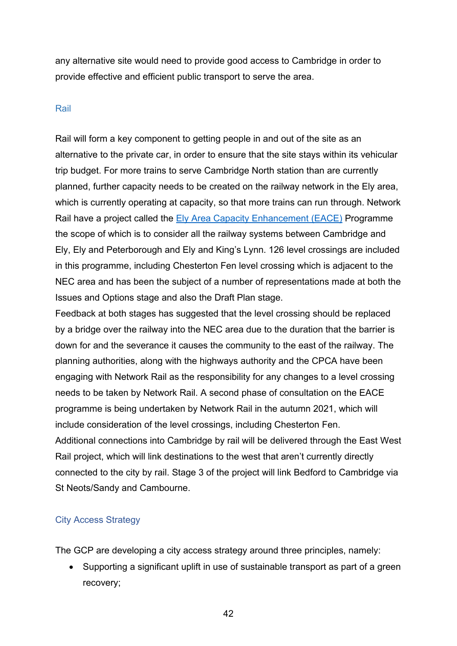any alternative site would need to provide good access to Cambridge in order to provide effective and efficient public transport to serve the area.

#### Rail

Rail will form a key component to getting people in and out of the site as an alternative to the private car, in order to ensure that the site stays within its vehicular trip budget. For more trains to serve Cambridge North station than are currently planned, further capacity needs to be created on the railway network in the Ely area, which is currently operating at capacity, so that more trains can run through. Network Rail have a project called the [Ely Area Capacity Enhancement \(EACE\)](https://www.networkrail.co.uk/running-the-railway/our-routes/anglia/improving-the-railway-in-anglia/ely-area-capacity-enhancement/) Programme the scope of which is to consider all the railway systems between Cambridge and Ely, Ely and Peterborough and Ely and King's Lynn. 126 level crossings are included in this programme, including Chesterton Fen level crossing which is adjacent to the NEC area and has been the subject of a number of representations made at both the Issues and Options stage and also the Draft Plan stage.

Feedback at both stages has suggested that the level crossing should be replaced by a bridge over the railway into the NEC area due to the duration that the barrier is down for and the severance it causes the community to the east of the railway. The planning authorities, along with the highways authority and the CPCA have been engaging with Network Rail as the responsibility for any changes to a level crossing needs to be taken by Network Rail. A second phase of consultation on the EACE programme is being undertaken by Network Rail in the autumn 2021, which will include consideration of the level crossings, including Chesterton Fen. Additional connections into Cambridge by rail will be delivered through the East West Rail project, which will link destinations to the west that aren't currently directly connected to the city by rail. Stage 3 of the project will link Bedford to Cambridge via St Neots/Sandy and Cambourne.

#### City Access Strategy

The GCP are developing a city access strategy around three principles, namely:

• Supporting a significant uplift in use of sustainable transport as part of a green recovery;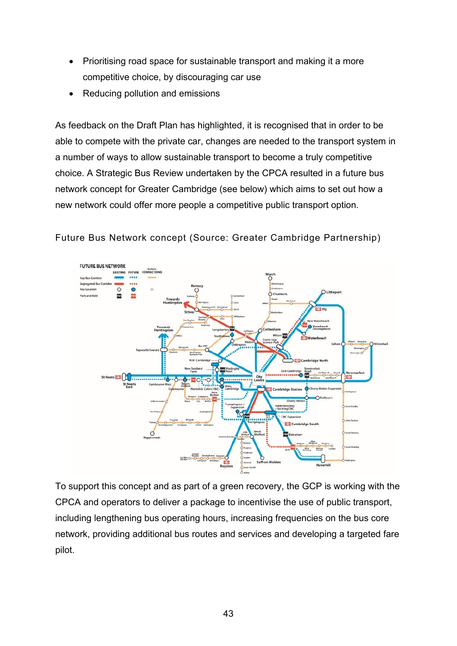- Prioritising road space for sustainable transport and making it a more competitive choice, by discouraging car use
- Reducing pollution and emissions

As feedback on the Draft Plan has highlighted, it is recognised that in order to be able to compete with the private car, changes are needed to the transport system in a number of ways to allow sustainable transport to become a truly competitive choice. A Strategic Bus Review undertaken by the CPCA resulted in a future bus network concept for Greater Cambridge (see below) which aims to set out how a new network could offer more people a competitive public transport option.

#### Future Bus Network concept (Source: Greater Cambridge Partnership)



To support this concept and as part of a green recovery, the GCP is working with the CPCA and operators to deliver a package to incentivise the use of public transport, including lengthening bus operating hours, increasing frequencies on the bus core network, providing additional bus routes and services and developing a targeted fare pilot.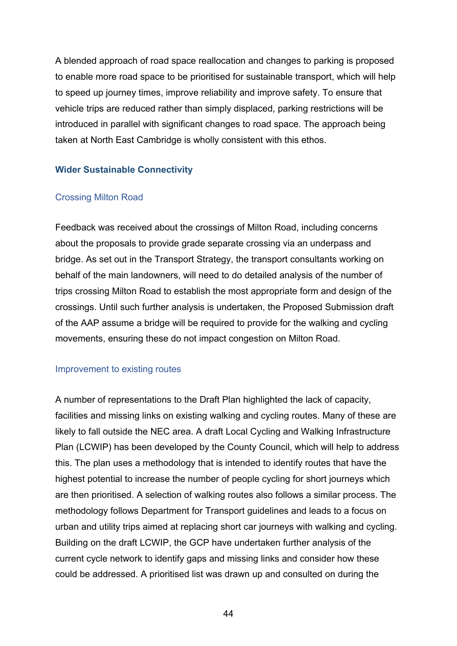A blended approach of road space reallocation and changes to parking is proposed to enable more road space to be prioritised for sustainable transport, which will help to speed up journey times, improve reliability and improve safety. To ensure that vehicle trips are reduced rather than simply displaced, parking restrictions will be introduced in parallel with significant changes to road space. The approach being taken at North East Cambridge is wholly consistent with this ethos.

#### <span id="page-43-0"></span>**Wider Sustainable Connectivity**

#### Crossing Milton Road

Feedback was received about the crossings of Milton Road, including concerns about the proposals to provide grade separate crossing via an underpass and bridge. As set out in the Transport Strategy, the transport consultants working on behalf of the main landowners, will need to do detailed analysis of the number of trips crossing Milton Road to establish the most appropriate form and design of the crossings. Until such further analysis is undertaken, the Proposed Submission draft of the AAP assume a bridge will be required to provide for the walking and cycling movements, ensuring these do not impact congestion on Milton Road.

#### Improvement to existing routes

A number of representations to the Draft Plan highlighted the lack of capacity, facilities and missing links on existing walking and cycling routes. Many of these are likely to fall outside the NEC area. A draft Local Cycling and Walking Infrastructure Plan (LCWIP) has been developed by the County Council, which will help to address this. The plan uses a methodology that is intended to identify routes that have the highest potential to increase the number of people cycling for short journeys which are then prioritised. A selection of walking routes also follows a similar process. The methodology follows Department for Transport guidelines and leads to a focus on urban and utility trips aimed at replacing short car journeys with walking and cycling. Building on the draft LCWIP, the GCP have undertaken further analysis of the current cycle network to identify gaps and missing links and consider how these could be addressed. A prioritised list was drawn up and consulted on during the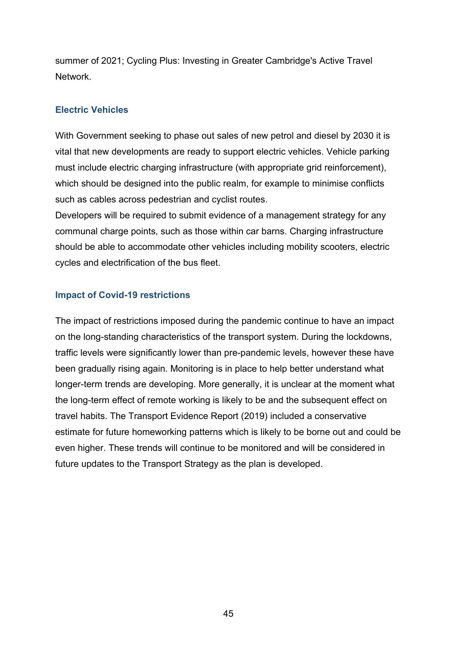summer of 2021; Cycling Plus: Investing in Greater Cambridge's Active Travel Network.

#### <span id="page-44-0"></span>**Electric Vehicles**

With Government seeking to phase out sales of new petrol and diesel by 2030 it is vital that new developments are ready to support electric vehicles. Vehicle parking must include electric charging infrastructure (with appropriate grid reinforcement), which should be designed into the public realm, for example to minimise conflicts such as cables across pedestrian and cyclist routes.

Developers will be required to submit evidence of a management strategy for any communal charge points, such as those within car barns. Charging infrastructure should be able to accommodate other vehicles including mobility scooters, electric cycles and electrification of the bus fleet.

#### <span id="page-44-1"></span>**Impact of Covid-19 restrictions**

<span id="page-44-2"></span>The impact of restrictions imposed during the pandemic continue to have an impact on the long-standing characteristics of the transport system. During the lockdowns, traffic levels were significantly lower than pre-pandemic levels, however these have been gradually rising again. Monitoring is in place to help better understand what longer-term trends are developing. More generally, it is unclear at the moment what the long-term effect of remote working is likely to be and the subsequent effect on travel habits. The Transport Evidence Report (2019) included a conservative estimate for future homeworking patterns which is likely to be borne out and could be even higher. These trends will continue to be monitored and will be considered in future updates to the Transport Strategy as the plan is developed.